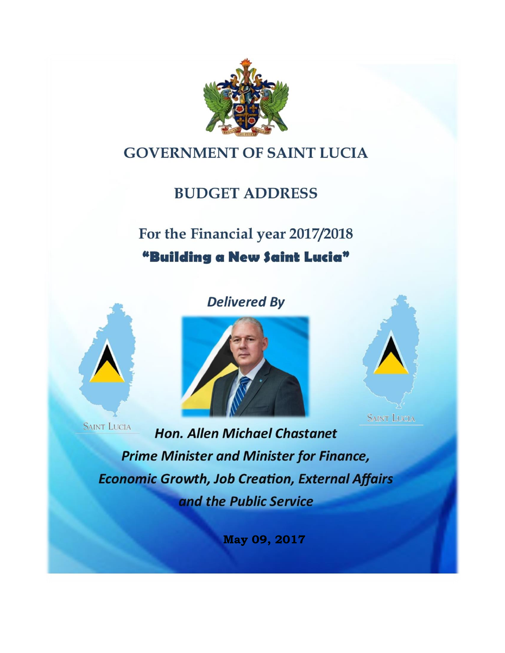

# **GOVERNMENT OF SAINT LUCIA**

# **BUDGET ADDRESS**

# For the Financial year 2017/2018 "Building a New Saint Lucia"



**Delivered By** 





**Hon. Allen Michael Chastanet Prime Minister and Minister for Finance, Economic Growth, Job Creation, External Affairs** and the Public Service

**May 09, 2017**

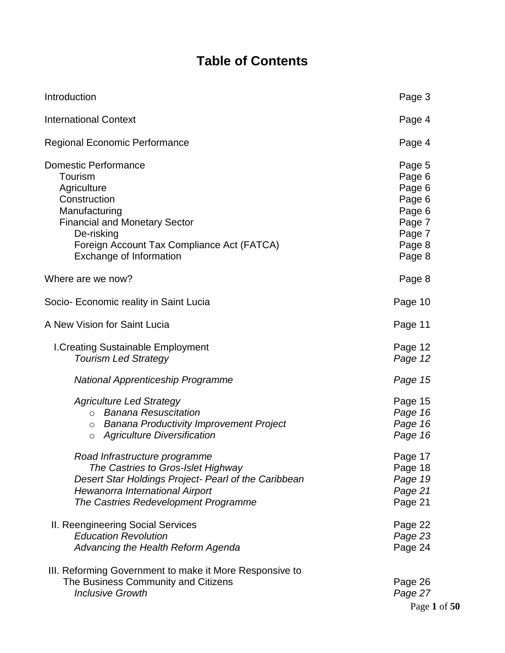# **Table of Contents**

| Introduction                                                                                                                                                                                                          | Page 3                                                                                 |
|-----------------------------------------------------------------------------------------------------------------------------------------------------------------------------------------------------------------------|----------------------------------------------------------------------------------------|
| <b>International Context</b>                                                                                                                                                                                          | Page 4                                                                                 |
| <b>Regional Economic Performance</b>                                                                                                                                                                                  | Page 4                                                                                 |
| <b>Domestic Performance</b><br>Tourism<br>Agriculture<br>Construction<br>Manufacturing<br><b>Financial and Monetary Sector</b><br>De-risking<br>Foreign Account Tax Compliance Act (FATCA)<br>Exchange of Information | Page 5<br>Page 6<br>Page 6<br>Page 6<br>Page 6<br>Page 7<br>Page 7<br>Page 8<br>Page 8 |
| Where are we now?                                                                                                                                                                                                     | Page 8                                                                                 |
| Socio- Economic reality in Saint Lucia                                                                                                                                                                                | Page 10                                                                                |
| A New Vision for Saint Lucia                                                                                                                                                                                          | Page 11                                                                                |
| I. Creating Sustainable Employment<br><b>Tourism Led Strategy</b>                                                                                                                                                     | Page 12<br>Page 12                                                                     |
| National Apprenticeship Programme                                                                                                                                                                                     | Page 15                                                                                |
| <b>Agriculture Led Strategy</b><br><b>Banana Resuscitation</b><br>$\circ$<br><b>Banana Productivity Improvement Project</b><br>$\circ$<br><b>Agriculture Diversification</b><br>O                                     | Page 15<br>Page 16<br>Page 16<br>Page 16                                               |
| Road Infrastructure programme<br>The Castries to Gros-Islet Highway<br>Desert Star Holdings Project- Pearl of the Caribbean<br>Hewanorra International Airport<br>The Castries Redevelopment Programme                | Page 17<br>Page 18<br>Page 19<br>Page 21<br>Page 21                                    |
| II. Reengineering Social Services<br><b>Education Revolution</b><br>Advancing the Health Reform Agenda                                                                                                                | Page 22<br>Page 23<br>Page 24                                                          |
| III. Reforming Government to make it More Responsive to<br>The Business Community and Citizens<br><b>Inclusive Growth</b>                                                                                             | Page 26<br>Page 27<br>$P309$ 1                                                         |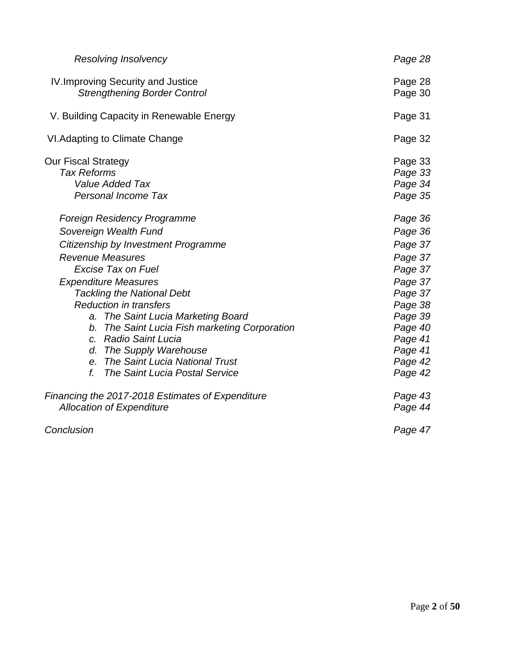| <b>Resolving Insolvency</b>                                                                                                                                                                                                                                                                                                                                                                                                                                                                     | Page 28                                                                                                                                                |
|-------------------------------------------------------------------------------------------------------------------------------------------------------------------------------------------------------------------------------------------------------------------------------------------------------------------------------------------------------------------------------------------------------------------------------------------------------------------------------------------------|--------------------------------------------------------------------------------------------------------------------------------------------------------|
| IV. Improving Security and Justice<br><b>Strengthening Border Control</b>                                                                                                                                                                                                                                                                                                                                                                                                                       | Page 28<br>Page 30                                                                                                                                     |
| V. Building Capacity in Renewable Energy                                                                                                                                                                                                                                                                                                                                                                                                                                                        | Page 31                                                                                                                                                |
| VI. Adapting to Climate Change                                                                                                                                                                                                                                                                                                                                                                                                                                                                  | Page 32                                                                                                                                                |
| <b>Our Fiscal Strategy</b><br><b>Tax Reforms</b><br><b>Value Added Tax</b><br><b>Personal Income Tax</b>                                                                                                                                                                                                                                                                                                                                                                                        | Page 33<br>Page 33<br>Page 34<br>Page 35                                                                                                               |
| Foreign Residency Programme<br>Sovereign Wealth Fund<br>Citizenship by Investment Programme<br><b>Revenue Measures</b><br><b>Excise Tax on Fuel</b><br><b>Expenditure Measures</b><br><b>Tackling the National Debt</b><br><b>Reduction in transfers</b><br>a. The Saint Lucia Marketing Board<br>b. The Saint Lucia Fish marketing Corporation<br>c. Radio Saint Lucia<br>d. The Supply Warehouse<br>e. The Saint Lucia National Trust<br>$f_{\cdot}$<br><b>The Saint Lucia Postal Service</b> | Page 36<br>Page 36<br>Page 37<br>Page 37<br>Page 37<br>Page 37<br>Page 37<br>Page 38<br>Page 39<br>Page 40<br>Page 41<br>Page 41<br>Page 42<br>Page 42 |
| Financing the 2017-2018 Estimates of Expenditure<br><b>Allocation of Expenditure</b>                                                                                                                                                                                                                                                                                                                                                                                                            | Page 43<br>Page 44                                                                                                                                     |
| Conclusion                                                                                                                                                                                                                                                                                                                                                                                                                                                                                      | Page 47                                                                                                                                                |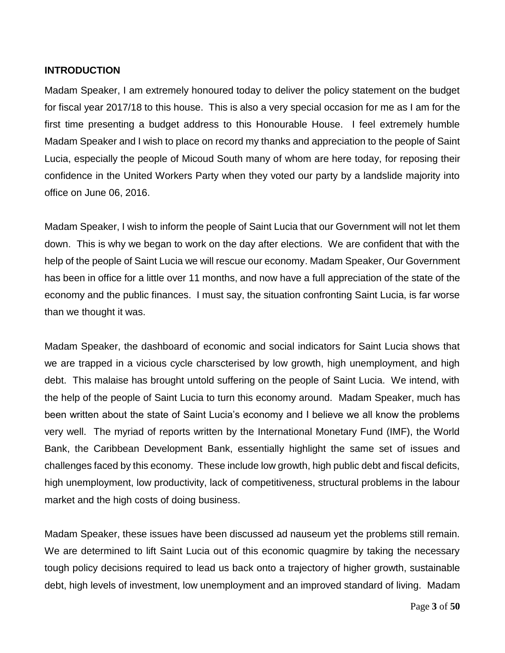#### **INTRODUCTION**

Madam Speaker, I am extremely honoured today to deliver the policy statement on the budget for fiscal year 2017/18 to this house. This is also a very special occasion for me as I am for the first time presenting a budget address to this Honourable House. I feel extremely humble Madam Speaker and I wish to place on record my thanks and appreciation to the people of Saint Lucia, especially the people of Micoud South many of whom are here today, for reposing their confidence in the United Workers Party when they voted our party by a landslide majority into office on June 06, 2016.

Madam Speaker, I wish to inform the people of Saint Lucia that our Government will not let them down. This is why we began to work on the day after elections. We are confident that with the help of the people of Saint Lucia we will rescue our economy. Madam Speaker, Our Government has been in office for a little over 11 months, and now have a full appreciation of the state of the economy and the public finances. I must say, the situation confronting Saint Lucia, is far worse than we thought it was.

Madam Speaker, the dashboard of economic and social indicators for Saint Lucia shows that we are trapped in a vicious cycle charscterised by low growth, high unemployment, and high debt. This malaise has brought untold suffering on the people of Saint Lucia. We intend, with the help of the people of Saint Lucia to turn this economy around. Madam Speaker, much has been written about the state of Saint Lucia's economy and I believe we all know the problems very well. The myriad of reports written by the International Monetary Fund (IMF), the World Bank, the Caribbean Development Bank, essentially highlight the same set of issues and challenges faced by this economy. These include low growth, high public debt and fiscal deficits, high unemployment, low productivity, lack of competitiveness, structural problems in the labour market and the high costs of doing business.

Madam Speaker, these issues have been discussed ad nauseum yet the problems still remain. We are determined to lift Saint Lucia out of this economic quagmire by taking the necessary tough policy decisions required to lead us back onto a trajectory of higher growth, sustainable debt, high levels of investment, low unemployment and an improved standard of living. Madam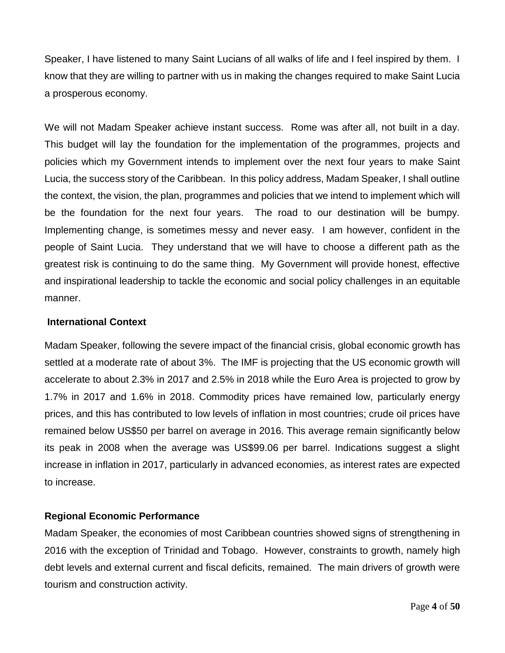Speaker, I have listened to many Saint Lucians of all walks of life and I feel inspired by them. I know that they are willing to partner with us in making the changes required to make Saint Lucia a prosperous economy.

We will not Madam Speaker achieve instant success. Rome was after all, not built in a day. This budget will lay the foundation for the implementation of the programmes, projects and policies which my Government intends to implement over the next four years to make Saint Lucia, the success story of the Caribbean. In this policy address, Madam Speaker, I shall outline the context, the vision, the plan, programmes and policies that we intend to implement which will be the foundation for the next four years. The road to our destination will be bumpy. Implementing change, is sometimes messy and never easy. I am however, confident in the people of Saint Lucia. They understand that we will have to choose a different path as the greatest risk is continuing to do the same thing. My Government will provide honest, effective and inspirational leadership to tackle the economic and social policy challenges in an equitable manner.

#### **International Context**

Madam Speaker, following the severe impact of the financial crisis, global economic growth has settled at a moderate rate of about 3%. The IMF is projecting that the US economic growth will accelerate to about 2.3% in 2017 and 2.5% in 2018 while the Euro Area is projected to grow by 1.7% in 2017 and 1.6% in 2018. Commodity prices have remained low, particularly energy prices, and this has contributed to low levels of inflation in most countries; crude oil prices have remained below US\$50 per barrel on average in 2016. This average remain significantly below its peak in 2008 when the average was US\$99.06 per barrel. Indications suggest a slight increase in inflation in 2017, particularly in advanced economies, as interest rates are expected to increase.

# **Regional Economic Performance**

Madam Speaker, the economies of most Caribbean countries showed signs of strengthening in 2016 with the exception of Trinidad and Tobago. However, constraints to growth, namely high debt levels and external current and fiscal deficits, remained. The main drivers of growth were tourism and construction activity.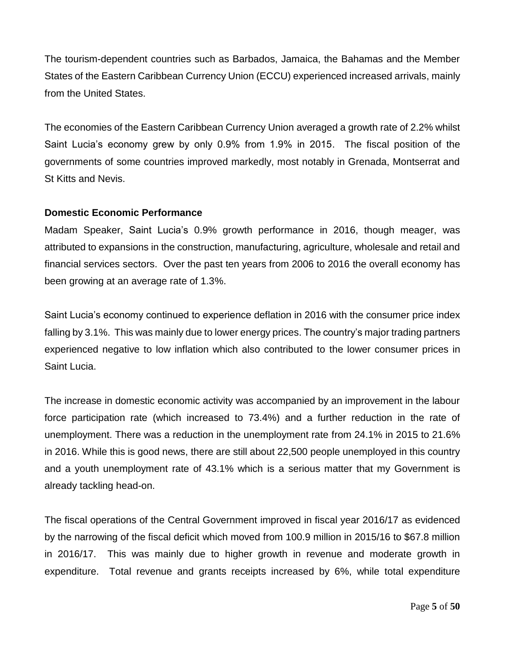The tourism-dependent countries such as Barbados, Jamaica, the Bahamas and the Member States of the Eastern Caribbean Currency Union (ECCU) experienced increased arrivals, mainly from the United States.

The economies of the Eastern Caribbean Currency Union averaged a growth rate of 2.2% whilst Saint Lucia's economy grew by only 0.9% from 1.9% in 2015. The fiscal position of the governments of some countries improved markedly, most notably in Grenada, Montserrat and St Kitts and Nevis.

#### **Domestic Economic Performance**

Madam Speaker, Saint Lucia's 0.9% growth performance in 2016, though meager, was attributed to expansions in the construction, manufacturing, agriculture, wholesale and retail and financial services sectors. Over the past ten years from 2006 to 2016 the overall economy has been growing at an average rate of 1.3%.

Saint Lucia's economy continued to experience deflation in 2016 with the consumer price index falling by 3.1%. This was mainly due to lower energy prices. The country's major trading partners experienced negative to low inflation which also contributed to the lower consumer prices in Saint Lucia.

The increase in domestic economic activity was accompanied by an improvement in the labour force participation rate (which increased to 73.4%) and a further reduction in the rate of unemployment. There was a reduction in the unemployment rate from 24.1% in 2015 to 21.6% in 2016. While this is good news, there are still about 22,500 people unemployed in this country and a youth unemployment rate of 43.1% which is a serious matter that my Government is already tackling head-on.

The fiscal operations of the Central Government improved in fiscal year 2016/17 as evidenced by the narrowing of the fiscal deficit which moved from 100.9 million in 2015/16 to \$67.8 million in 2016/17. This was mainly due to higher growth in revenue and moderate growth in expenditure. Total revenue and grants receipts increased by 6%, while total expenditure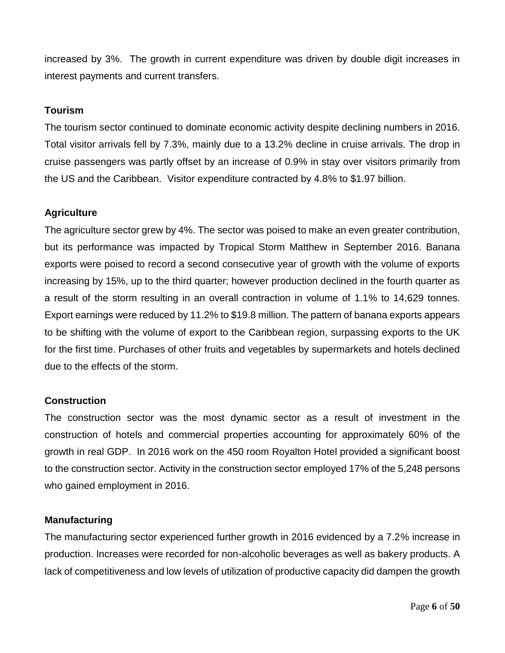increased by 3%. The growth in current expenditure was driven by double digit increases in interest payments and current transfers.

#### **Tourism**

The tourism sector continued to dominate economic activity despite declining numbers in 2016. Total visitor arrivals fell by 7.3%, mainly due to a 13.2% decline in cruise arrivals. The drop in cruise passengers was partly offset by an increase of 0.9% in stay over visitors primarily from the US and the Caribbean. Visitor expenditure contracted by 4.8% to \$1.97 billion.

#### **Agriculture**

The agriculture sector grew by 4%. The sector was poised to make an even greater contribution, but its performance was impacted by Tropical Storm Matthew in September 2016. Banana exports were poised to record a second consecutive year of growth with the volume of exports increasing by 15%, up to the third quarter; however production declined in the fourth quarter as a result of the storm resulting in an overall contraction in volume of 1.1% to 14,629 tonnes. Export earnings were reduced by 11.2% to \$19.8 million. The pattern of banana exports appears to be shifting with the volume of export to the Caribbean region, surpassing exports to the UK for the first time. Purchases of other fruits and vegetables by supermarkets and hotels declined due to the effects of the storm.

#### **Construction**

The construction sector was the most dynamic sector as a result of investment in the construction of hotels and commercial properties accounting for approximately 60% of the growth in real GDP. In 2016 work on the 450 room Royalton Hotel provided a significant boost to the construction sector. Activity in the construction sector employed 17% of the 5,248 persons who gained employment in 2016.

#### **Manufacturing**

The manufacturing sector experienced further growth in 2016 evidenced by a 7.2% increase in production. Increases were recorded for non-alcoholic beverages as well as bakery products. A lack of competitiveness and low levels of utilization of productive capacity did dampen the growth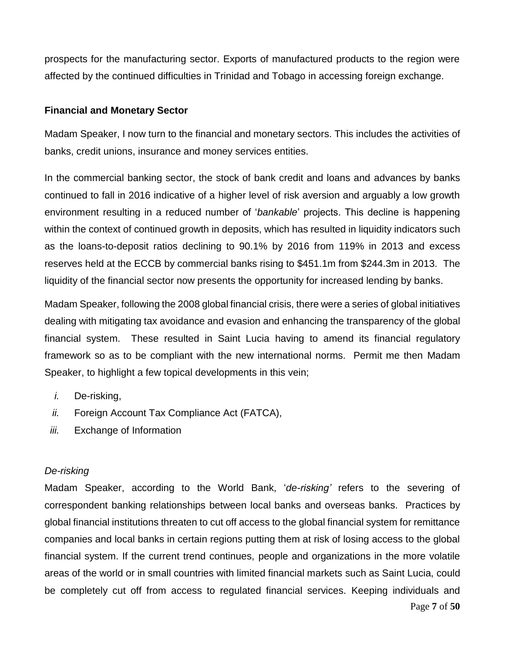prospects for the manufacturing sector. Exports of manufactured products to the region were affected by the continued difficulties in Trinidad and Tobago in accessing foreign exchange.

#### **Financial and Monetary Sector**

Madam Speaker, I now turn to the financial and monetary sectors. This includes the activities of banks, credit unions, insurance and money services entities.

In the commercial banking sector, the stock of bank credit and loans and advances by banks continued to fall in 2016 indicative of a higher level of risk aversion and arguably a low growth environment resulting in a reduced number of '*bankable*' projects. This decline is happening within the context of continued growth in deposits, which has resulted in liquidity indicators such as the loans-to-deposit ratios declining to 90.1% by 2016 from 119% in 2013 and excess reserves held at the ECCB by commercial banks rising to \$451.1m from \$244.3m in 2013. The liquidity of the financial sector now presents the opportunity for increased lending by banks.

Madam Speaker, following the 2008 global financial crisis, there were a series of global initiatives dealing with mitigating tax avoidance and evasion and enhancing the transparency of the global financial system. These resulted in Saint Lucia having to amend its financial regulatory framework so as to be compliant with the new international norms. Permit me then Madam Speaker, to highlight a few topical developments in this vein;

- *i.* De-risking,
- *ii.* Foreign Account Tax Compliance Act (FATCA),
- *iii.* Exchange of Information

#### *De-risking*

Madam Speaker, according to the World Bank, '*de-risking'* refers to the severing of correspondent banking relationships between local banks and overseas banks. Practices by global financial institutions threaten to cut off access to the global financial system for remittance companies and local banks in certain regions putting them at risk of losing access to the global financial system. If the current trend continues, people and organizations in the more volatile areas of the world or in small countries with limited financial markets such as Saint Lucia, could be completely cut off from access to regulated financial services. Keeping individuals and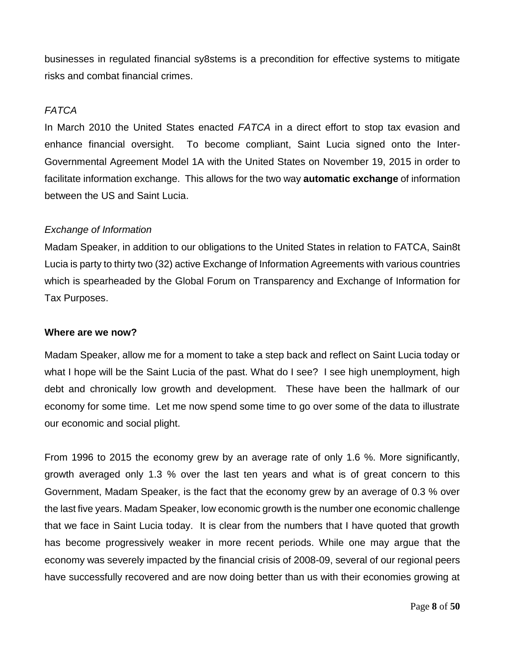businesses in regulated financial sy8stems is a precondition for effective systems to mitigate risks and combat financial crimes.

#### *FATCA*

In March 2010 the United States enacted *FATCA* in a direct effort to stop tax evasion and enhance financial oversight. To become compliant, Saint Lucia signed onto the Inter-Governmental Agreement Model 1A with the United States on November 19, 2015 in order to facilitate information exchange. This allows for the two way **automatic exchange** of information between the US and Saint Lucia.

#### *Exchange of Information*

Madam Speaker, in addition to our obligations to the United States in relation to FATCA, Sain8t Lucia is party to thirty two (32) active Exchange of Information Agreements with various countries which is spearheaded by the Global Forum on Transparency and Exchange of Information for Tax Purposes.

#### **Where are we now?**

Madam Speaker, allow me for a moment to take a step back and reflect on Saint Lucia today or what I hope will be the Saint Lucia of the past. What do I see? I see high unemployment, high debt and chronically low growth and development. These have been the hallmark of our economy for some time. Let me now spend some time to go over some of the data to illustrate our economic and social plight.

From 1996 to 2015 the economy grew by an average rate of only 1.6 %. More significantly, growth averaged only 1.3 % over the last ten years and what is of great concern to this Government, Madam Speaker, is the fact that the economy grew by an average of 0.3 % over the last five years. Madam Speaker, low economic growth is the number one economic challenge that we face in Saint Lucia today. It is clear from the numbers that I have quoted that growth has become progressively weaker in more recent periods. While one may argue that the economy was severely impacted by the financial crisis of 2008-09, several of our regional peers have successfully recovered and are now doing better than us with their economies growing at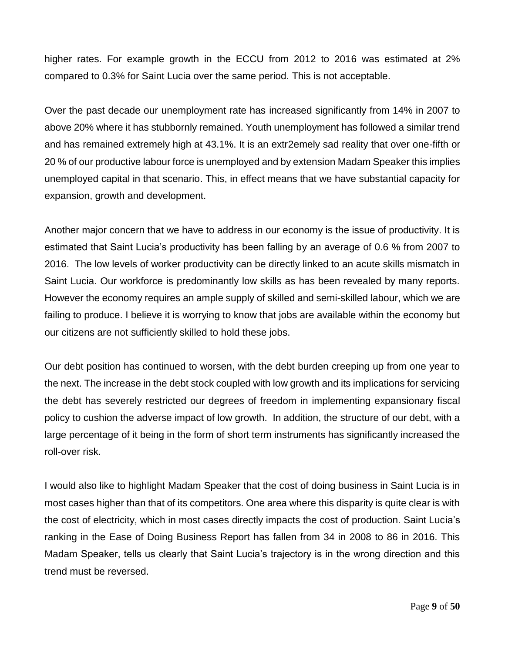higher rates. For example growth in the ECCU from 2012 to 2016 was estimated at 2% compared to 0.3% for Saint Lucia over the same period. This is not acceptable.

Over the past decade our unemployment rate has increased significantly from 14% in 2007 to above 20% where it has stubbornly remained. Youth unemployment has followed a similar trend and has remained extremely high at 43.1%. It is an extr2emely sad reality that over one-fifth or 20 % of our productive labour force is unemployed and by extension Madam Speaker this implies unemployed capital in that scenario. This, in effect means that we have substantial capacity for expansion, growth and development.

Another major concern that we have to address in our economy is the issue of productivity. It is estimated that Saint Lucia's productivity has been falling by an average of 0.6 % from 2007 to 2016. The low levels of worker productivity can be directly linked to an acute skills mismatch in Saint Lucia. Our workforce is predominantly low skills as has been revealed by many reports. However the economy requires an ample supply of skilled and semi-skilled labour, which we are failing to produce. I believe it is worrying to know that jobs are available within the economy but our citizens are not sufficiently skilled to hold these jobs.

Our debt position has continued to worsen, with the debt burden creeping up from one year to the next. The increase in the debt stock coupled with low growth and its implications for servicing the debt has severely restricted our degrees of freedom in implementing expansionary fiscal policy to cushion the adverse impact of low growth. In addition, the structure of our debt, with a large percentage of it being in the form of short term instruments has significantly increased the roll-over risk.

I would also like to highlight Madam Speaker that the cost of doing business in Saint Lucia is in most cases higher than that of its competitors. One area where this disparity is quite clear is with the cost of electricity, which in most cases directly impacts the cost of production. Saint Lucia's ranking in the Ease of Doing Business Report has fallen from 34 in 2008 to 86 in 2016. This Madam Speaker, tells us clearly that Saint Lucia's trajectory is in the wrong direction and this trend must be reversed.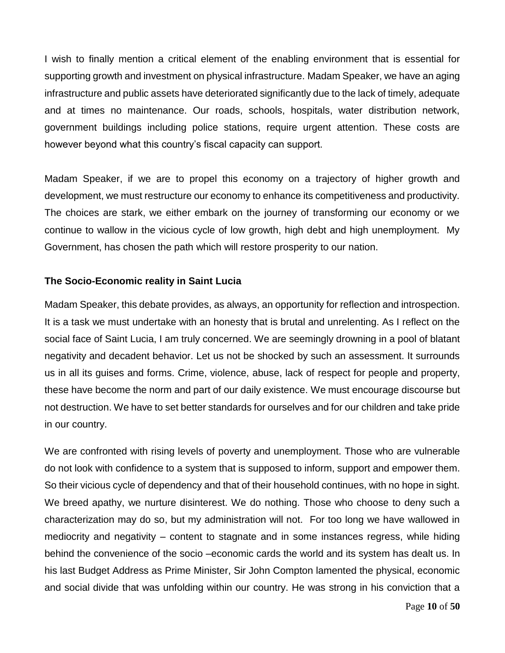I wish to finally mention a critical element of the enabling environment that is essential for supporting growth and investment on physical infrastructure. Madam Speaker, we have an aging infrastructure and public assets have deteriorated significantly due to the lack of timely, adequate and at times no maintenance. Our roads, schools, hospitals, water distribution network, government buildings including police stations, require urgent attention. These costs are however beyond what this country's fiscal capacity can support.

Madam Speaker, if we are to propel this economy on a trajectory of higher growth and development, we must restructure our economy to enhance its competitiveness and productivity. The choices are stark, we either embark on the journey of transforming our economy or we continue to wallow in the vicious cycle of low growth, high debt and high unemployment. My Government, has chosen the path which will restore prosperity to our nation.

# **The Socio-Economic reality in Saint Lucia**

Madam Speaker, this debate provides, as always, an opportunity for reflection and introspection. It is a task we must undertake with an honesty that is brutal and unrelenting. As I reflect on the social face of Saint Lucia, I am truly concerned. We are seemingly drowning in a pool of blatant negativity and decadent behavior. Let us not be shocked by such an assessment. It surrounds us in all its guises and forms. Crime, violence, abuse, lack of respect for people and property, these have become the norm and part of our daily existence. We must encourage discourse but not destruction. We have to set better standards for ourselves and for our children and take pride in our country.

We are confronted with rising levels of poverty and unemployment. Those who are vulnerable do not look with confidence to a system that is supposed to inform, support and empower them. So their vicious cycle of dependency and that of their household continues, with no hope in sight. We breed apathy, we nurture disinterest. We do nothing. Those who choose to deny such a characterization may do so, but my administration will not. For too long we have wallowed in mediocrity and negativity – content to stagnate and in some instances regress, while hiding behind the convenience of the socio –economic cards the world and its system has dealt us. In his last Budget Address as Prime Minister, Sir John Compton lamented the physical, economic and social divide that was unfolding within our country. He was strong in his conviction that a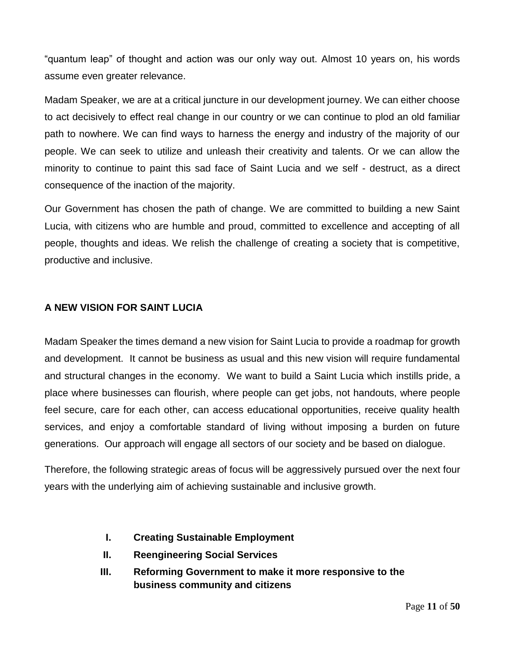"quantum leap" of thought and action was our only way out. Almost 10 years on, his words assume even greater relevance.

Madam Speaker, we are at a critical juncture in our development journey. We can either choose to act decisively to effect real change in our country or we can continue to plod an old familiar path to nowhere. We can find ways to harness the energy and industry of the majority of our people. We can seek to utilize and unleash their creativity and talents. Or we can allow the minority to continue to paint this sad face of Saint Lucia and we self - destruct, as a direct consequence of the inaction of the majority.

Our Government has chosen the path of change. We are committed to building a new Saint Lucia, with citizens who are humble and proud, committed to excellence and accepting of all people, thoughts and ideas. We relish the challenge of creating a society that is competitive, productive and inclusive.

#### **A NEW VISION FOR SAINT LUCIA**

Madam Speaker the times demand a new vision for Saint Lucia to provide a roadmap for growth and development. It cannot be business as usual and this new vision will require fundamental and structural changes in the economy. We want to build a Saint Lucia which instills pride, a place where businesses can flourish, where people can get jobs, not handouts, where people feel secure, care for each other, can access educational opportunities, receive quality health services, and enjoy a comfortable standard of living without imposing a burden on future generations. Our approach will engage all sectors of our society and be based on dialogue.

Therefore, the following strategic areas of focus will be aggressively pursued over the next four years with the underlying aim of achieving sustainable and inclusive growth.

- **I. Creating Sustainable Employment**
- **II. Reengineering Social Services**
- **III. Reforming Government to make it more responsive to the business community and citizens**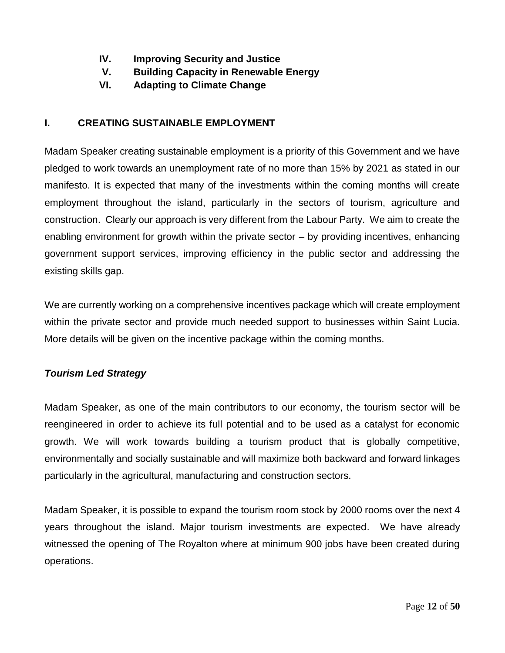- **IV. Improving Security and Justice**
- **V. Building Capacity in Renewable Energy**
- **VI. Adapting to Climate Change**

# **I. CREATING SUSTAINABLE EMPLOYMENT**

Madam Speaker creating sustainable employment is a priority of this Government and we have pledged to work towards an unemployment rate of no more than 15% by 2021 as stated in our manifesto. It is expected that many of the investments within the coming months will create employment throughout the island, particularly in the sectors of tourism, agriculture and construction. Clearly our approach is very different from the Labour Party. We aim to create the enabling environment for growth within the private sector – by providing incentives, enhancing government support services, improving efficiency in the public sector and addressing the existing skills gap.

We are currently working on a comprehensive incentives package which will create employment within the private sector and provide much needed support to businesses within Saint Lucia. More details will be given on the incentive package within the coming months.

# *Tourism Led Strategy*

Madam Speaker, as one of the main contributors to our economy, the tourism sector will be reengineered in order to achieve its full potential and to be used as a catalyst for economic growth. We will work towards building a tourism product that is globally competitive, environmentally and socially sustainable and will maximize both backward and forward linkages particularly in the agricultural, manufacturing and construction sectors.

Madam Speaker, it is possible to expand the tourism room stock by 2000 rooms over the next 4 years throughout the island. Major tourism investments are expected. We have already witnessed the opening of The Royalton where at minimum 900 jobs have been created during operations.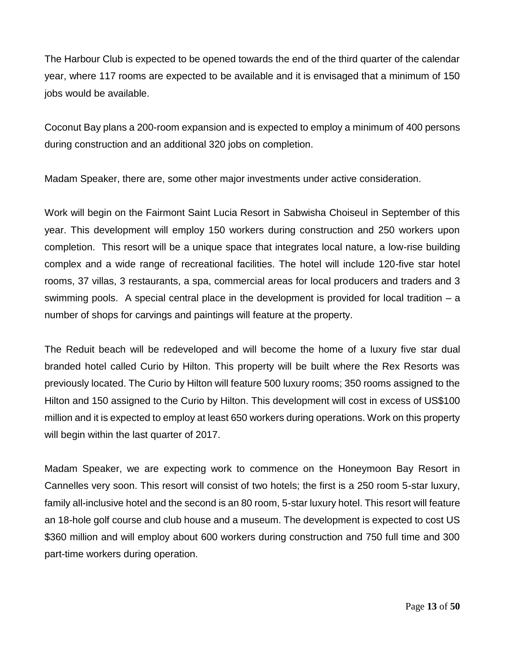The Harbour Club is expected to be opened towards the end of the third quarter of the calendar year, where 117 rooms are expected to be available and it is envisaged that a minimum of 150 jobs would be available.

Coconut Bay plans a 200-room expansion and is expected to employ a minimum of 400 persons during construction and an additional 320 jobs on completion.

Madam Speaker, there are, some other major investments under active consideration.

Work will begin on the Fairmont Saint Lucia Resort in Sabwisha Choiseul in September of this year. This development will employ 150 workers during construction and 250 workers upon completion. This resort will be a unique space that integrates local nature, a low-rise building complex and a wide range of recreational facilities. The hotel will include 120-five star hotel rooms, 37 villas, 3 restaurants, a spa, commercial areas for local producers and traders and 3 swimming pools. A special central place in the development is provided for local tradition – a number of shops for carvings and paintings will feature at the property.

The Reduit beach will be redeveloped and will become the home of a luxury five star dual branded hotel called Curio by Hilton. This property will be built where the Rex Resorts was previously located. The Curio by Hilton will feature 500 luxury rooms; 350 rooms assigned to the Hilton and 150 assigned to the Curio by Hilton. This development will cost in excess of US\$100 million and it is expected to employ at least 650 workers during operations. Work on this property will begin within the last quarter of 2017.

Madam Speaker, we are expecting work to commence on the Honeymoon Bay Resort in Cannelles very soon. This resort will consist of two hotels; the first is a 250 room 5-star luxury, family all-inclusive hotel and the second is an 80 room, 5-star luxury hotel. This resort will feature an 18-hole golf course and club house and a museum. The development is expected to cost US \$360 million and will employ about 600 workers during construction and 750 full time and 300 part-time workers during operation.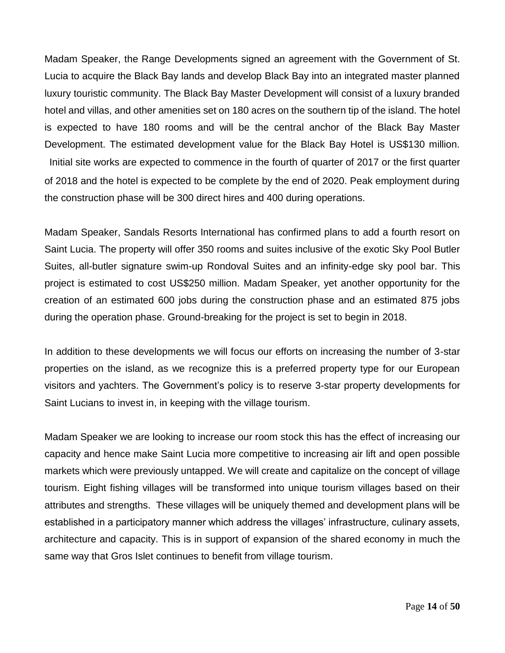Madam Speaker, the Range Developments signed an agreement with the Government of St. Lucia to acquire the Black Bay lands and develop Black Bay into an integrated master planned luxury touristic community. The Black Bay Master Development will consist of a luxury branded hotel and villas, and other amenities set on 180 acres on the southern tip of the island. The hotel is expected to have 180 rooms and will be the central anchor of the Black Bay Master Development. The estimated development value for the Black Bay Hotel is US\$130 million. Initial site works are expected to commence in the fourth of quarter of 2017 or the first quarter of 2018 and the hotel is expected to be complete by the end of 2020. Peak employment during the construction phase will be 300 direct hires and 400 during operations.

Madam Speaker, Sandals Resorts International has confirmed plans to add a fourth resort on Saint Lucia. The property will offer 350 rooms and suites inclusive of the exotic Sky Pool Butler Suites, all-butler signature swim-up Rondoval Suites and an infinity-edge sky pool bar. This project is estimated to cost US\$250 million. Madam Speaker, yet another opportunity for the creation of an estimated 600 jobs during the construction phase and an estimated 875 jobs during the operation phase. Ground-breaking for the project is set to begin in 2018.

In addition to these developments we will focus our efforts on increasing the number of 3-star properties on the island, as we recognize this is a preferred property type for our European visitors and yachters. The Government's policy is to reserve 3-star property developments for Saint Lucians to invest in, in keeping with the village tourism.

Madam Speaker we are looking to increase our room stock this has the effect of increasing our capacity and hence make Saint Lucia more competitive to increasing air lift and open possible markets which were previously untapped. We will create and capitalize on the concept of village tourism. Eight fishing villages will be transformed into unique tourism villages based on their attributes and strengths. These villages will be uniquely themed and development plans will be established in a participatory manner which address the villages' infrastructure, culinary assets, architecture and capacity. This is in support of expansion of the shared economy in much the same way that Gros Islet continues to benefit from village tourism.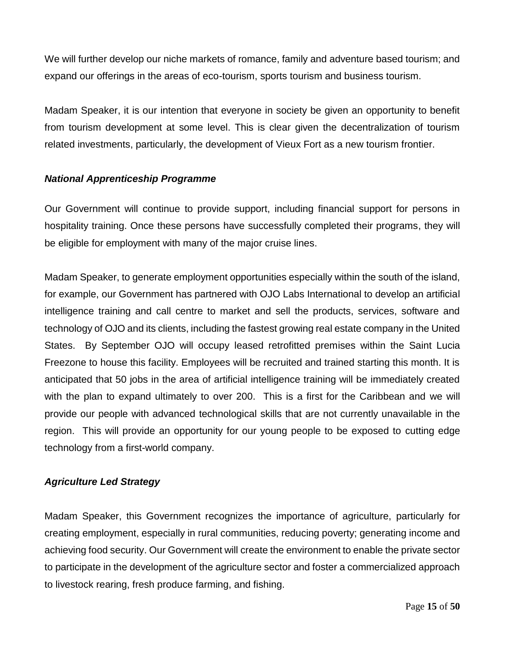We will further develop our niche markets of romance, family and adventure based tourism; and expand our offerings in the areas of eco-tourism, sports tourism and business tourism.

Madam Speaker, it is our intention that everyone in society be given an opportunity to benefit from tourism development at some level. This is clear given the decentralization of tourism related investments, particularly, the development of Vieux Fort as a new tourism frontier.

#### *National Apprenticeship Programme*

Our Government will continue to provide support, including financial support for persons in hospitality training. Once these persons have successfully completed their programs, they will be eligible for employment with many of the major cruise lines.

Madam Speaker, to generate employment opportunities especially within the south of the island, for example, our Government has partnered with OJO Labs International to develop an artificial intelligence training and call centre to market and sell the products, services, software and technology of OJO and its clients, including the fastest growing real estate company in the United States. By September OJO will occupy leased retrofitted premises within the Saint Lucia Freezone to house this facility. Employees will be recruited and trained starting this month. It is anticipated that 50 jobs in the area of artificial intelligence training will be immediately created with the plan to expand ultimately to over 200. This is a first for the Caribbean and we will provide our people with advanced technological skills that are not currently unavailable in the region. This will provide an opportunity for our young people to be exposed to cutting edge technology from a first-world company.

#### *Agriculture Led Strategy*

Madam Speaker, this Government recognizes the importance of agriculture, particularly for creating employment, especially in rural communities, reducing poverty; generating income and achieving food security. Our Government will create the environment to enable the private sector to participate in the development of the agriculture sector and foster a commercialized approach to livestock rearing, fresh produce farming, and fishing.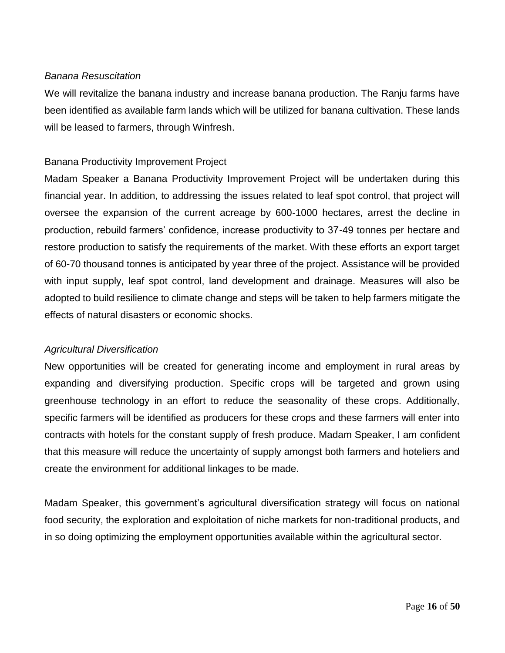#### *Banana Resuscitation*

We will revitalize the banana industry and increase banana production. The Ranju farms have been identified as available farm lands which will be utilized for banana cultivation. These lands will be leased to farmers, through Winfresh.

#### Banana Productivity Improvement Project

Madam Speaker a Banana Productivity Improvement Project will be undertaken during this financial year. In addition, to addressing the issues related to leaf spot control, that project will oversee the expansion of the current acreage by 600-1000 hectares, arrest the decline in production, rebuild farmers' confidence, increase productivity to 37-49 tonnes per hectare and restore production to satisfy the requirements of the market. With these efforts an export target of 60-70 thousand tonnes is anticipated by year three of the project. Assistance will be provided with input supply, leaf spot control, land development and drainage. Measures will also be adopted to build resilience to climate change and steps will be taken to help farmers mitigate the effects of natural disasters or economic shocks.

#### *Agricultural Diversification*

New opportunities will be created for generating income and employment in rural areas by expanding and diversifying production. Specific crops will be targeted and grown using greenhouse technology in an effort to reduce the seasonality of these crops. Additionally, specific farmers will be identified as producers for these crops and these farmers will enter into contracts with hotels for the constant supply of fresh produce. Madam Speaker, I am confident that this measure will reduce the uncertainty of supply amongst both farmers and hoteliers and create the environment for additional linkages to be made.

Madam Speaker, this government's agricultural diversification strategy will focus on national food security, the exploration and exploitation of niche markets for non-traditional products, and in so doing optimizing the employment opportunities available within the agricultural sector.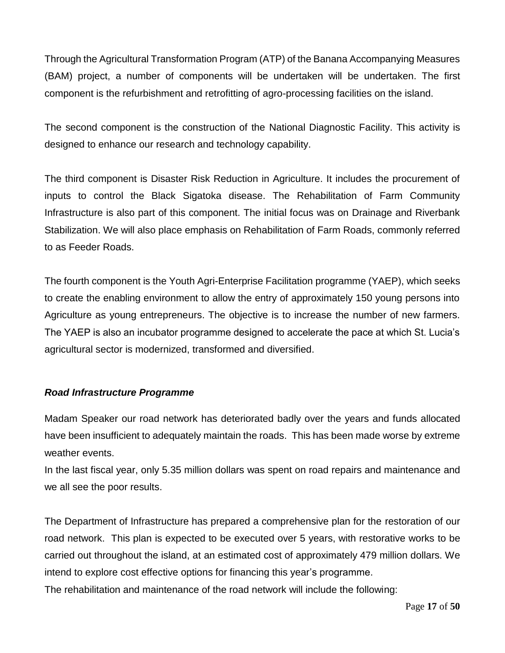Through the Agricultural Transformation Program (ATP) of the Banana Accompanying Measures (BAM) project, a number of components will be undertaken will be undertaken. The first component is the refurbishment and retrofitting of agro-processing facilities on the island.

The second component is the construction of the National Diagnostic Facility. This activity is designed to enhance our research and technology capability.

The third component is Disaster Risk Reduction in Agriculture. It includes the procurement of inputs to control the Black Sigatoka disease. The Rehabilitation of Farm Community Infrastructure is also part of this component. The initial focus was on Drainage and Riverbank Stabilization. We will also place emphasis on Rehabilitation of Farm Roads, commonly referred to as Feeder Roads.

The fourth component is the Youth Agri-Enterprise Facilitation programme (YAEP), which seeks to create the enabling environment to allow the entry of approximately 150 young persons into Agriculture as young entrepreneurs. The objective is to increase the number of new farmers. The YAEP is also an incubator programme designed to accelerate the pace at which St. Lucia's agricultural sector is modernized, transformed and diversified.

# *Road Infrastructure Programme*

Madam Speaker our road network has deteriorated badly over the years and funds allocated have been insufficient to adequately maintain the roads. This has been made worse by extreme weather events.

In the last fiscal year, only 5.35 million dollars was spent on road repairs and maintenance and we all see the poor results.

The Department of Infrastructure has prepared a comprehensive plan for the restoration of our road network. This plan is expected to be executed over 5 years, with restorative works to be carried out throughout the island, at an estimated cost of approximately 479 million dollars. We intend to explore cost effective options for financing this year's programme.

The rehabilitation and maintenance of the road network will include the following: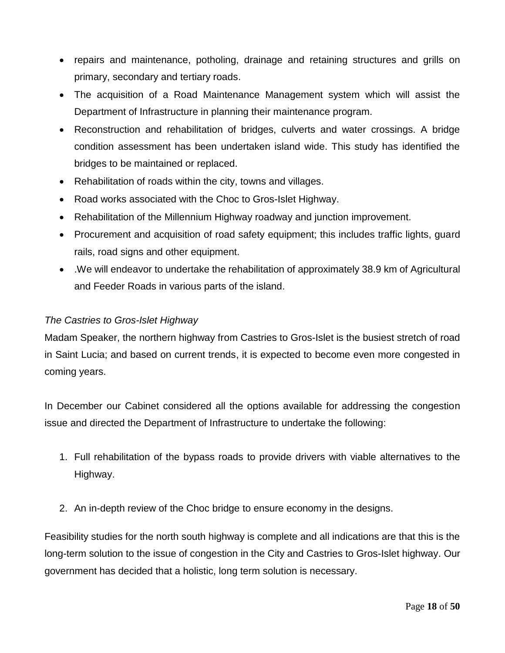- repairs and maintenance, potholing, drainage and retaining structures and grills on primary, secondary and tertiary roads.
- The acquisition of a Road Maintenance Management system which will assist the Department of Infrastructure in planning their maintenance program.
- Reconstruction and rehabilitation of bridges, culverts and water crossings. A bridge condition assessment has been undertaken island wide. This study has identified the bridges to be maintained or replaced.
- Rehabilitation of roads within the city, towns and villages.
- Road works associated with the Choc to Gros-Islet Highway.
- Rehabilitation of the Millennium Highway roadway and junction improvement.
- Procurement and acquisition of road safety equipment; this includes traffic lights, guard rails, road signs and other equipment.
- .We will endeavor to undertake the rehabilitation of approximately 38.9 km of Agricultural and Feeder Roads in various parts of the island.

#### *The Castries to Gros-Islet Highway*

Madam Speaker, the northern highway from Castries to Gros-Islet is the busiest stretch of road in Saint Lucia; and based on current trends, it is expected to become even more congested in coming years.

In December our Cabinet considered all the options available for addressing the congestion issue and directed the Department of Infrastructure to undertake the following:

- 1. Full rehabilitation of the bypass roads to provide drivers with viable alternatives to the Highway.
- 2. An in-depth review of the Choc bridge to ensure economy in the designs.

Feasibility studies for the north south highway is complete and all indications are that this is the long-term solution to the issue of congestion in the City and Castries to Gros-Islet highway. Our government has decided that a holistic, long term solution is necessary.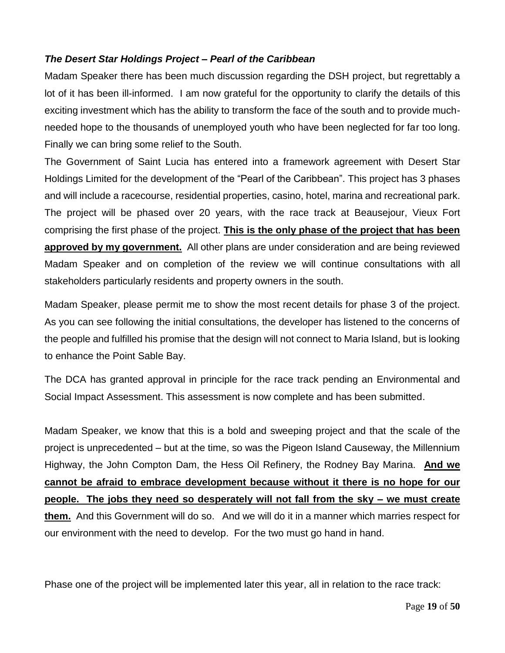### *The Desert Star Holdings Project – Pearl of the Caribbean*

Madam Speaker there has been much discussion regarding the DSH project, but regrettably a lot of it has been ill-informed. I am now grateful for the opportunity to clarify the details of this exciting investment which has the ability to transform the face of the south and to provide muchneeded hope to the thousands of unemployed youth who have been neglected for far too long. Finally we can bring some relief to the South.

The Government of Saint Lucia has entered into a framework agreement with Desert Star Holdings Limited for the development of the "Pearl of the Caribbean". This project has 3 phases and will include a racecourse, residential properties, casino, hotel, marina and recreational park. The project will be phased over 20 years, with the race track at Beausejour, Vieux Fort comprising the first phase of the project. **This is the only phase of the project that has been approved by my government.** All other plans are under consideration and are being reviewed Madam Speaker and on completion of the review we will continue consultations with all stakeholders particularly residents and property owners in the south.

Madam Speaker, please permit me to show the most recent details for phase 3 of the project. As you can see following the initial consultations, the developer has listened to the concerns of the people and fulfilled his promise that the design will not connect to Maria Island, but is looking to enhance the Point Sable Bay.

The DCA has granted approval in principle for the race track pending an Environmental and Social Impact Assessment. This assessment is now complete and has been submitted.

Madam Speaker, we know that this is a bold and sweeping project and that the scale of the project is unprecedented – but at the time, so was the Pigeon Island Causeway, the Millennium Highway, the John Compton Dam, the Hess Oil Refinery, the Rodney Bay Marina. **And we cannot be afraid to embrace development because without it there is no hope for our people. The jobs they need so desperately will not fall from the sky – we must create them.** And this Government will do so. And we will do it in a manner which marries respect for our environment with the need to develop. For the two must go hand in hand.

Phase one of the project will be implemented later this year, all in relation to the race track: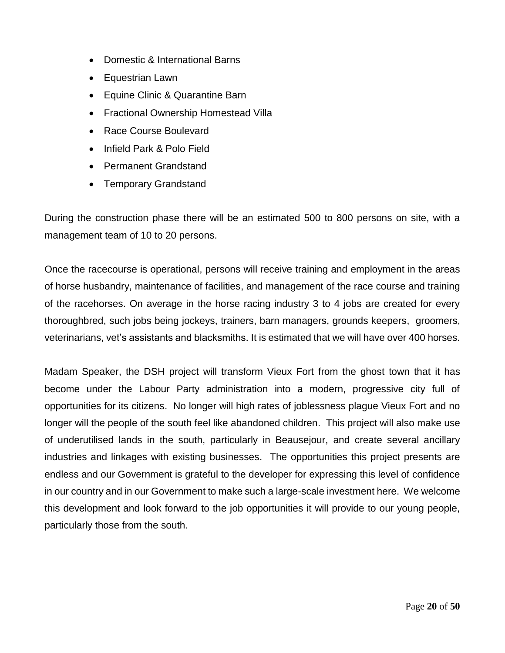- Domestic & International Barns
- Equestrian Lawn
- Equine Clinic & Quarantine Barn
- Fractional Ownership Homestead Villa
- Race Course Boulevard
- Infield Park & Polo Field
- Permanent Grandstand
- Temporary Grandstand

During the construction phase there will be an estimated 500 to 800 persons on site, with a management team of 10 to 20 persons.

Once the racecourse is operational, persons will receive training and employment in the areas of horse husbandry, maintenance of facilities, and management of the race course and training of the racehorses. On average in the horse racing industry 3 to 4 jobs are created for every thoroughbred, such jobs being jockeys, trainers, barn managers, grounds keepers, groomers, veterinarians, vet's assistants and blacksmiths. It is estimated that we will have over 400 horses.

Madam Speaker, the DSH project will transform Vieux Fort from the ghost town that it has become under the Labour Party administration into a modern, progressive city full of opportunities for its citizens. No longer will high rates of joblessness plague Vieux Fort and no longer will the people of the south feel like abandoned children. This project will also make use of underutilised lands in the south, particularly in Beausejour, and create several ancillary industries and linkages with existing businesses. The opportunities this project presents are endless and our Government is grateful to the developer for expressing this level of confidence in our country and in our Government to make such a large-scale investment here. We welcome this development and look forward to the job opportunities it will provide to our young people, particularly those from the south.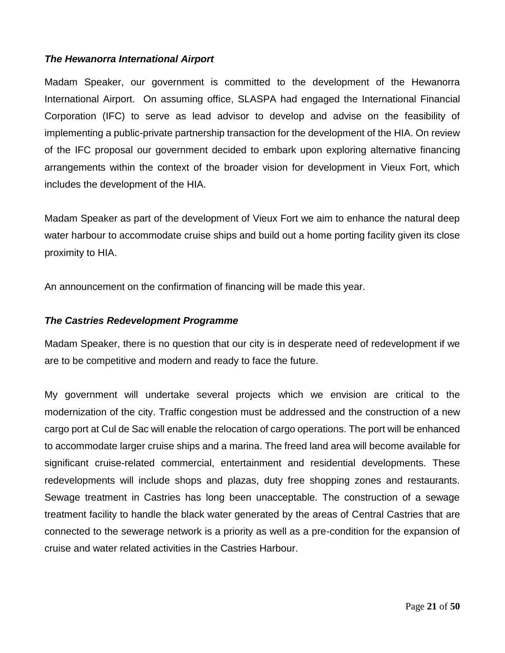#### *The Hewanorra International Airport*

Madam Speaker, our government is committed to the development of the Hewanorra International Airport. On assuming office, SLASPA had engaged the International Financial Corporation (IFC) to serve as lead advisor to develop and advise on the feasibility of implementing a public-private partnership transaction for the development of the HIA. On review of the IFC proposal our government decided to embark upon exploring alternative financing arrangements within the context of the broader vision for development in Vieux Fort, which includes the development of the HIA.

Madam Speaker as part of the development of Vieux Fort we aim to enhance the natural deep water harbour to accommodate cruise ships and build out a home porting facility given its close proximity to HIA.

An announcement on the confirmation of financing will be made this year.

#### *The Castries Redevelopment Programme*

Madam Speaker, there is no question that our city is in desperate need of redevelopment if we are to be competitive and modern and ready to face the future.

My government will undertake several projects which we envision are critical to the modernization of the city. Traffic congestion must be addressed and the construction of a new cargo port at Cul de Sac will enable the relocation of cargo operations. The port will be enhanced to accommodate larger cruise ships and a marina. The freed land area will become available for significant cruise-related commercial, entertainment and residential developments. These redevelopments will include shops and plazas, duty free shopping zones and restaurants. Sewage treatment in Castries has long been unacceptable. The construction of a sewage treatment facility to handle the black water generated by the areas of Central Castries that are connected to the sewerage network is a priority as well as a pre-condition for the expansion of cruise and water related activities in the Castries Harbour.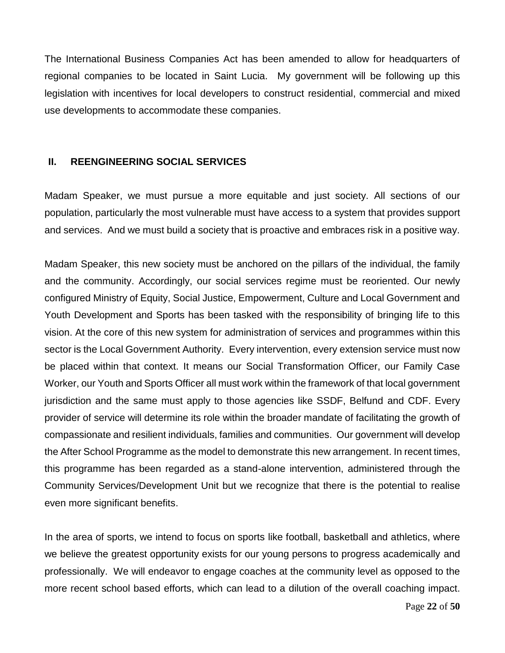The International Business Companies Act has been amended to allow for headquarters of regional companies to be located in Saint Lucia. My government will be following up this legislation with incentives for local developers to construct residential, commercial and mixed use developments to accommodate these companies.

#### **II. REENGINEERING SOCIAL SERVICES**

Madam Speaker, we must pursue a more equitable and just society. All sections of our population, particularly the most vulnerable must have access to a system that provides support and services. And we must build a society that is proactive and embraces risk in a positive way.

Madam Speaker, this new society must be anchored on the pillars of the individual, the family and the community. Accordingly, our social services regime must be reoriented. Our newly configured Ministry of Equity, Social Justice, Empowerment, Culture and Local Government and Youth Development and Sports has been tasked with the responsibility of bringing life to this vision. At the core of this new system for administration of services and programmes within this sector is the Local Government Authority. Every intervention, every extension service must now be placed within that context. It means our Social Transformation Officer, our Family Case Worker, our Youth and Sports Officer all must work within the framework of that local government jurisdiction and the same must apply to those agencies like SSDF, Belfund and CDF. Every provider of service will determine its role within the broader mandate of facilitating the growth of compassionate and resilient individuals, families and communities. Our government will develop the After School Programme as the model to demonstrate this new arrangement. In recent times, this programme has been regarded as a stand-alone intervention, administered through the Community Services/Development Unit but we recognize that there is the potential to realise even more significant benefits.

In the area of sports, we intend to focus on sports like football, basketball and athletics, where we believe the greatest opportunity exists for our young persons to progress academically and professionally. We will endeavor to engage coaches at the community level as opposed to the more recent school based efforts, which can lead to a dilution of the overall coaching impact.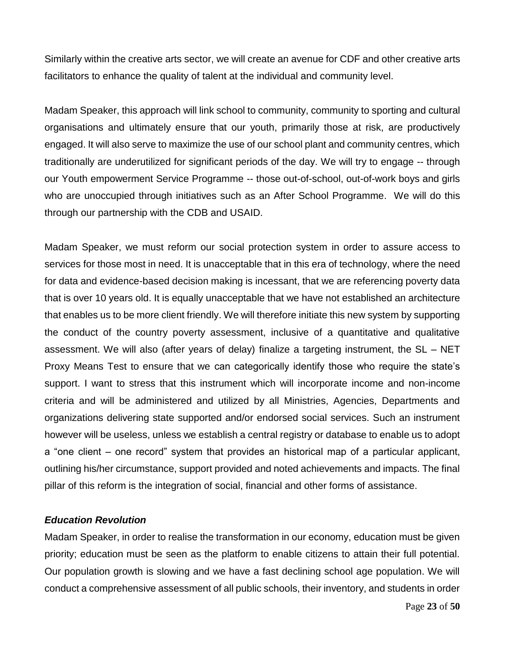Similarly within the creative arts sector, we will create an avenue for CDF and other creative arts facilitators to enhance the quality of talent at the individual and community level.

Madam Speaker, this approach will link school to community, community to sporting and cultural organisations and ultimately ensure that our youth, primarily those at risk, are productively engaged. It will also serve to maximize the use of our school plant and community centres, which traditionally are underutilized for significant periods of the day. We will try to engage -- through our Youth empowerment Service Programme -- those out-of-school, out-of-work boys and girls who are unoccupied through initiatives such as an After School Programme. We will do this through our partnership with the CDB and USAID.

Madam Speaker, we must reform our social protection system in order to assure access to services for those most in need. It is unacceptable that in this era of technology, where the need for data and evidence-based decision making is incessant, that we are referencing poverty data that is over 10 years old. It is equally unacceptable that we have not established an architecture that enables us to be more client friendly. We will therefore initiate this new system by supporting the conduct of the country poverty assessment, inclusive of a quantitative and qualitative assessment. We will also (after years of delay) finalize a targeting instrument, the SL – NET Proxy Means Test to ensure that we can categorically identify those who require the state's support. I want to stress that this instrument which will incorporate income and non-income criteria and will be administered and utilized by all Ministries, Agencies, Departments and organizations delivering state supported and/or endorsed social services. Such an instrument however will be useless, unless we establish a central registry or database to enable us to adopt a "one client – one record" system that provides an historical map of a particular applicant, outlining his/her circumstance, support provided and noted achievements and impacts. The final pillar of this reform is the integration of social, financial and other forms of assistance.

#### *Education Revolution*

Madam Speaker, in order to realise the transformation in our economy, education must be given priority; education must be seen as the platform to enable citizens to attain their full potential. Our population growth is slowing and we have a fast declining school age population. We will conduct a comprehensive assessment of all public schools, their inventory, and students in order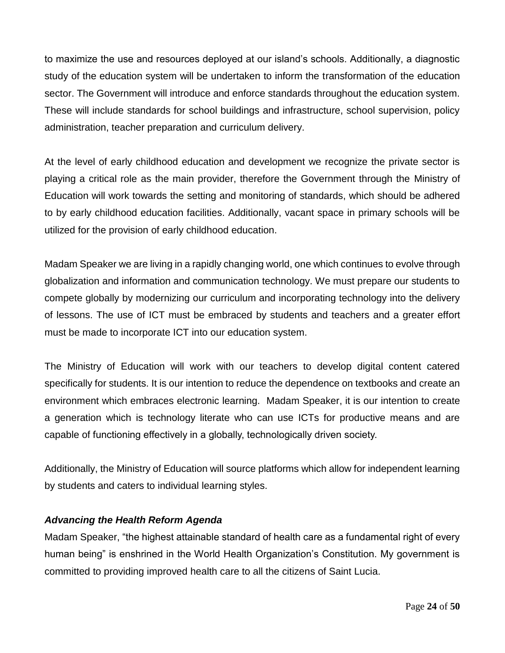to maximize the use and resources deployed at our island's schools. Additionally, a diagnostic study of the education system will be undertaken to inform the transformation of the education sector. The Government will introduce and enforce standards throughout the education system. These will include standards for school buildings and infrastructure, school supervision, policy administration, teacher preparation and curriculum delivery.

At the level of early childhood education and development we recognize the private sector is playing a critical role as the main provider, therefore the Government through the Ministry of Education will work towards the setting and monitoring of standards, which should be adhered to by early childhood education facilities. Additionally, vacant space in primary schools will be utilized for the provision of early childhood education.

Madam Speaker we are living in a rapidly changing world, one which continues to evolve through globalization and information and communication technology. We must prepare our students to compete globally by modernizing our curriculum and incorporating technology into the delivery of lessons. The use of ICT must be embraced by students and teachers and a greater effort must be made to incorporate ICT into our education system.

The Ministry of Education will work with our teachers to develop digital content catered specifically for students. It is our intention to reduce the dependence on textbooks and create an environment which embraces electronic learning. Madam Speaker, it is our intention to create a generation which is technology literate who can use ICTs for productive means and are capable of functioning effectively in a globally, technologically driven society.

Additionally, the Ministry of Education will source platforms which allow for independent learning by students and caters to individual learning styles.

# *Advancing the Health Reform Agenda*

Madam Speaker, "the highest attainable standard of health care as a fundamental right of every human being" is enshrined in the World Health Organization's Constitution. My government is committed to providing improved health care to all the citizens of Saint Lucia.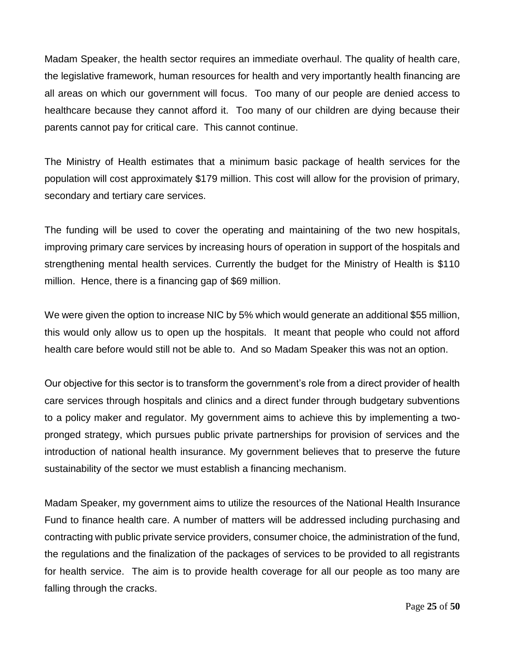Madam Speaker, the health sector requires an immediate overhaul. The quality of health care, the legislative framework, human resources for health and very importantly health financing are all areas on which our government will focus. Too many of our people are denied access to healthcare because they cannot afford it. Too many of our children are dying because their parents cannot pay for critical care. This cannot continue.

The Ministry of Health estimates that a minimum basic package of health services for the population will cost approximately \$179 million. This cost will allow for the provision of primary, secondary and tertiary care services.

The funding will be used to cover the operating and maintaining of the two new hospitals, improving primary care services by increasing hours of operation in support of the hospitals and strengthening mental health services. Currently the budget for the Ministry of Health is \$110 million. Hence, there is a financing gap of \$69 million.

We were given the option to increase NIC by 5% which would generate an additional \$55 million, this would only allow us to open up the hospitals. It meant that people who could not afford health care before would still not be able to. And so Madam Speaker this was not an option.

Our objective for this sector is to transform the government's role from a direct provider of health care services through hospitals and clinics and a direct funder through budgetary subventions to a policy maker and regulator. My government aims to achieve this by implementing a twopronged strategy, which pursues public private partnerships for provision of services and the introduction of national health insurance. My government believes that to preserve the future sustainability of the sector we must establish a financing mechanism.

Madam Speaker, my government aims to utilize the resources of the National Health Insurance Fund to finance health care. A number of matters will be addressed including purchasing and contracting with public private service providers, consumer choice, the administration of the fund, the regulations and the finalization of the packages of services to be provided to all registrants for health service. The aim is to provide health coverage for all our people as too many are falling through the cracks.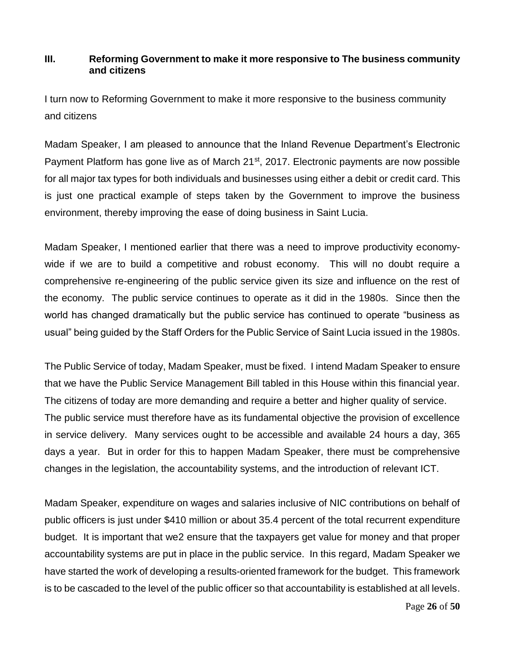# **III. Reforming Government to make it more responsive to The business community and citizens**

I turn now to Reforming Government to make it more responsive to the business community and citizens

Madam Speaker, I am pleased to announce that the Inland Revenue Department's Electronic Payment Platform has gone live as of March 21<sup>st</sup>, 2017. Electronic payments are now possible for all major tax types for both individuals and businesses using either a debit or credit card. This is just one practical example of steps taken by the Government to improve the business environment, thereby improving the ease of doing business in Saint Lucia.

Madam Speaker, I mentioned earlier that there was a need to improve productivity economywide if we are to build a competitive and robust economy. This will no doubt require a comprehensive re-engineering of the public service given its size and influence on the rest of the economy. The public service continues to operate as it did in the 1980s. Since then the world has changed dramatically but the public service has continued to operate "business as usual" being guided by the Staff Orders for the Public Service of Saint Lucia issued in the 1980s.

The Public Service of today, Madam Speaker, must be fixed. I intend Madam Speaker to ensure that we have the Public Service Management Bill tabled in this House within this financial year. The citizens of today are more demanding and require a better and higher quality of service. The public service must therefore have as its fundamental objective the provision of excellence in service delivery. Many services ought to be accessible and available 24 hours a day, 365 days a year. But in order for this to happen Madam Speaker, there must be comprehensive changes in the legislation, the accountability systems, and the introduction of relevant ICT.

Madam Speaker, expenditure on wages and salaries inclusive of NIC contributions on behalf of public officers is just under \$410 million or about 35.4 percent of the total recurrent expenditure budget. It is important that we2 ensure that the taxpayers get value for money and that proper accountability systems are put in place in the public service. In this regard, Madam Speaker we have started the work of developing a results-oriented framework for the budget. This framework is to be cascaded to the level of the public officer so that accountability is established at all levels.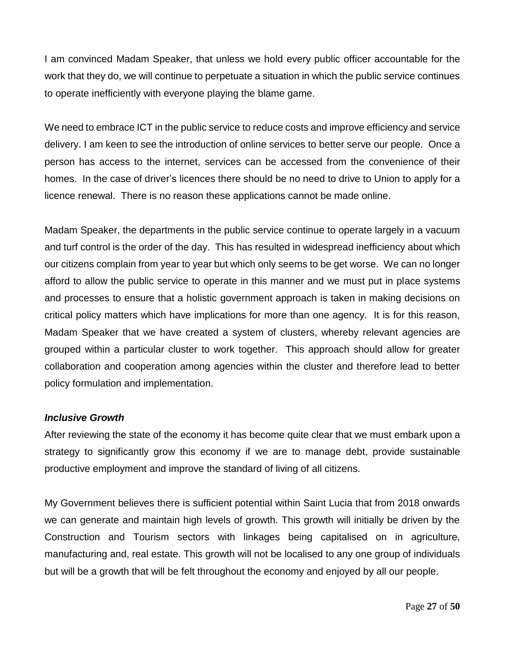I am convinced Madam Speaker, that unless we hold every public officer accountable for the work that they do, we will continue to perpetuate a situation in which the public service continues to operate inefficiently with everyone playing the blame game.

We need to embrace ICT in the public service to reduce costs and improve efficiency and service delivery. I am keen to see the introduction of online services to better serve our people. Once a person has access to the internet, services can be accessed from the convenience of their homes. In the case of driver's licences there should be no need to drive to Union to apply for a licence renewal. There is no reason these applications cannot be made online.

Madam Speaker, the departments in the public service continue to operate largely in a vacuum and turf control is the order of the day. This has resulted in widespread inefficiency about which our citizens complain from year to year but which only seems to be get worse. We can no longer afford to allow the public service to operate in this manner and we must put in place systems and processes to ensure that a holistic government approach is taken in making decisions on critical policy matters which have implications for more than one agency. It is for this reason, Madam Speaker that we have created a system of clusters, whereby relevant agencies are grouped within a particular cluster to work together. This approach should allow for greater collaboration and cooperation among agencies within the cluster and therefore lead to better policy formulation and implementation.

#### *Inclusive Growth*

After reviewing the state of the economy it has become quite clear that we must embark upon a strategy to significantly grow this economy if we are to manage debt, provide sustainable productive employment and improve the standard of living of all citizens.

My Government believes there is sufficient potential within Saint Lucia that from 2018 onwards we can generate and maintain high levels of growth. This growth will initially be driven by the Construction and Tourism sectors with linkages being capitalised on in agriculture, manufacturing and, real estate. This growth will not be localised to any one group of individuals but will be a growth that will be felt throughout the economy and enjoyed by all our people.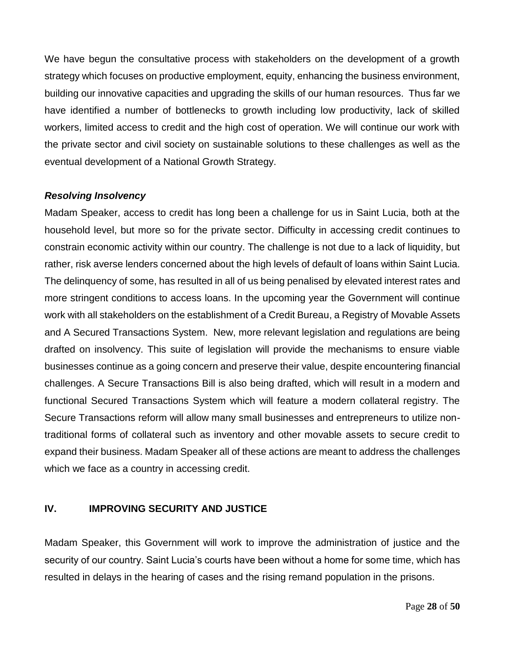We have begun the consultative process with stakeholders on the development of a growth strategy which focuses on productive employment, equity, enhancing the business environment, building our innovative capacities and upgrading the skills of our human resources. Thus far we have identified a number of bottlenecks to growth including low productivity, lack of skilled workers, limited access to credit and the high cost of operation. We will continue our work with the private sector and civil society on sustainable solutions to these challenges as well as the eventual development of a National Growth Strategy.

#### *Resolving Insolvency*

Madam Speaker, access to credit has long been a challenge for us in Saint Lucia, both at the household level, but more so for the private sector. Difficulty in accessing credit continues to constrain economic activity within our country. The challenge is not due to a lack of liquidity, but rather, risk averse lenders concerned about the high levels of default of loans within Saint Lucia. The delinquency of some, has resulted in all of us being penalised by elevated interest rates and more stringent conditions to access loans. In the upcoming year the Government will continue work with all stakeholders on the establishment of a Credit Bureau, a Registry of Movable Assets and A Secured Transactions System. New, more relevant legislation and regulations are being drafted on insolvency. This suite of legislation will provide the mechanisms to ensure viable businesses continue as a going concern and preserve their value, despite encountering financial challenges. A Secure Transactions Bill is also being drafted, which will result in a modern and functional Secured Transactions System which will feature a modern collateral registry. The Secure Transactions reform will allow many small businesses and entrepreneurs to utilize nontraditional forms of collateral such as inventory and other movable assets to secure credit to expand their business. Madam Speaker all of these actions are meant to address the challenges which we face as a country in accessing credit.

#### **IV. IMPROVING SECURITY AND JUSTICE**

Madam Speaker, this Government will work to improve the administration of justice and the security of our country. Saint Lucia's courts have been without a home for some time, which has resulted in delays in the hearing of cases and the rising remand population in the prisons.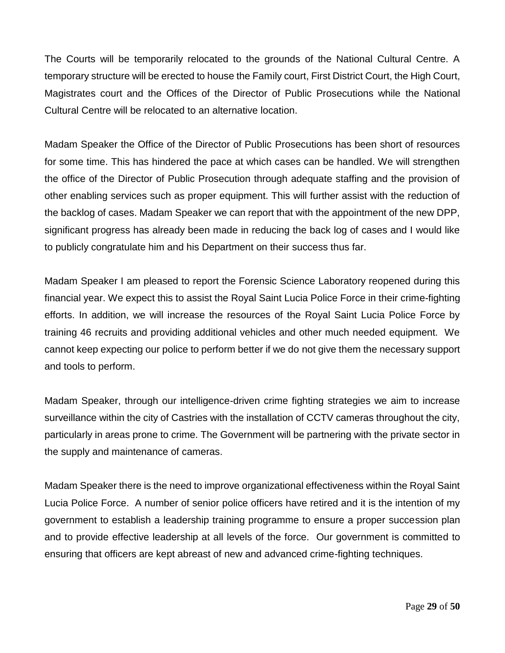The Courts will be temporarily relocated to the grounds of the National Cultural Centre. A temporary structure will be erected to house the Family court, First District Court, the High Court, Magistrates court and the Offices of the Director of Public Prosecutions while the National Cultural Centre will be relocated to an alternative location.

Madam Speaker the Office of the Director of Public Prosecutions has been short of resources for some time. This has hindered the pace at which cases can be handled. We will strengthen the office of the Director of Public Prosecution through adequate staffing and the provision of other enabling services such as proper equipment. This will further assist with the reduction of the backlog of cases. Madam Speaker we can report that with the appointment of the new DPP, significant progress has already been made in reducing the back log of cases and I would like to publicly congratulate him and his Department on their success thus far.

Madam Speaker I am pleased to report the Forensic Science Laboratory reopened during this financial year. We expect this to assist the Royal Saint Lucia Police Force in their crime-fighting efforts. In addition, we will increase the resources of the Royal Saint Lucia Police Force by training 46 recruits and providing additional vehicles and other much needed equipment. We cannot keep expecting our police to perform better if we do not give them the necessary support and tools to perform.

Madam Speaker, through our intelligence-driven crime fighting strategies we aim to increase surveillance within the city of Castries with the installation of CCTV cameras throughout the city, particularly in areas prone to crime. The Government will be partnering with the private sector in the supply and maintenance of cameras.

Madam Speaker there is the need to improve organizational effectiveness within the Royal Saint Lucia Police Force. A number of senior police officers have retired and it is the intention of my government to establish a leadership training programme to ensure a proper succession plan and to provide effective leadership at all levels of the force. Our government is committed to ensuring that officers are kept abreast of new and advanced crime-fighting techniques.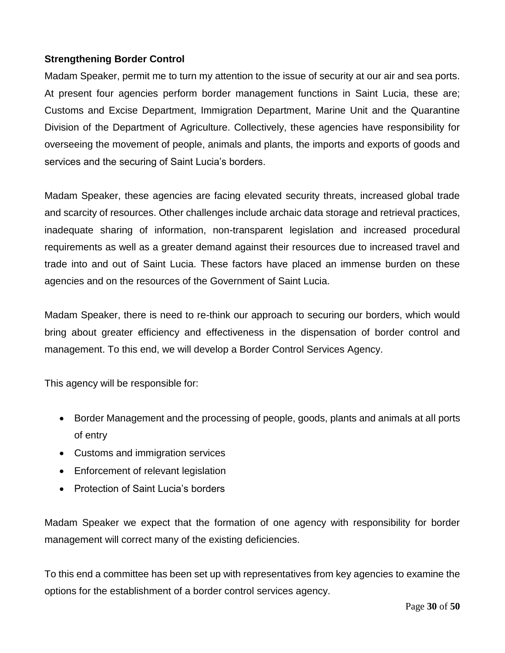# **Strengthening Border Control**

Madam Speaker, permit me to turn my attention to the issue of security at our air and sea ports. At present four agencies perform border management functions in Saint Lucia, these are; Customs and Excise Department, Immigration Department, Marine Unit and the Quarantine Division of the Department of Agriculture. Collectively, these agencies have responsibility for overseeing the movement of people, animals and plants, the imports and exports of goods and services and the securing of Saint Lucia's borders.

Madam Speaker, these agencies are facing elevated security threats, increased global trade and scarcity of resources. Other challenges include archaic data storage and retrieval practices, inadequate sharing of information, non-transparent legislation and increased procedural requirements as well as a greater demand against their resources due to increased travel and trade into and out of Saint Lucia. These factors have placed an immense burden on these agencies and on the resources of the Government of Saint Lucia.

Madam Speaker, there is need to re-think our approach to securing our borders, which would bring about greater efficiency and effectiveness in the dispensation of border control and management. To this end, we will develop a Border Control Services Agency.

This agency will be responsible for:

- Border Management and the processing of people, goods, plants and animals at all ports of entry
- Customs and immigration services
- Enforcement of relevant legislation
- Protection of Saint Lucia's borders

Madam Speaker we expect that the formation of one agency with responsibility for border management will correct many of the existing deficiencies.

To this end a committee has been set up with representatives from key agencies to examine the options for the establishment of a border control services agency.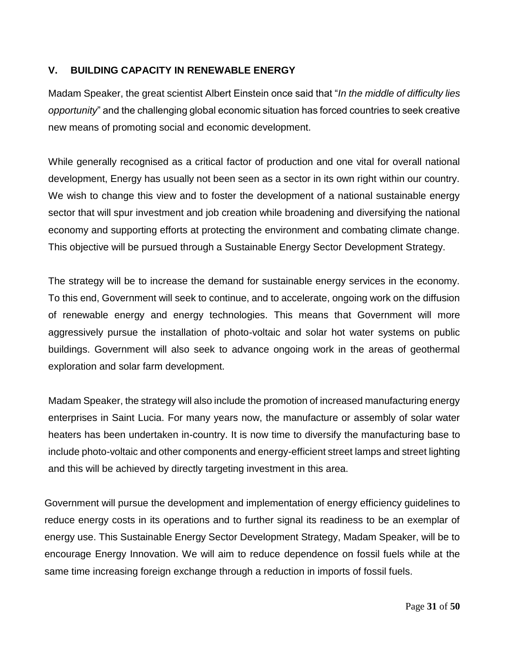# **V. BUILDING CAPACITY IN RENEWABLE ENERGY**

Madam Speaker, the great scientist Albert Einstein once said that "*In the middle of difficulty lies opportunity*" and the challenging global economic situation has forced countries to seek creative new means of promoting social and economic development.

While generally recognised as a critical factor of production and one vital for overall national development, Energy has usually not been seen as a sector in its own right within our country. We wish to change this view and to foster the development of a national sustainable energy sector that will spur investment and job creation while broadening and diversifying the national economy and supporting efforts at protecting the environment and combating climate change. This objective will be pursued through a Sustainable Energy Sector Development Strategy.

The strategy will be to increase the demand for sustainable energy services in the economy. To this end, Government will seek to continue, and to accelerate, ongoing work on the diffusion of renewable energy and energy technologies. This means that Government will more aggressively pursue the installation of photo-voltaic and solar hot water systems on public buildings. Government will also seek to advance ongoing work in the areas of geothermal exploration and solar farm development.

Madam Speaker, the strategy will also include the promotion of increased manufacturing energy enterprises in Saint Lucia. For many years now, the manufacture or assembly of solar water heaters has been undertaken in-country. It is now time to diversify the manufacturing base to include photo-voltaic and other components and energy-efficient street lamps and street lighting and this will be achieved by directly targeting investment in this area.

Government will pursue the development and implementation of energy efficiency guidelines to reduce energy costs in its operations and to further signal its readiness to be an exemplar of energy use. This Sustainable Energy Sector Development Strategy, Madam Speaker, will be to encourage Energy Innovation. We will aim to reduce dependence on fossil fuels while at the same time increasing foreign exchange through a reduction in imports of fossil fuels.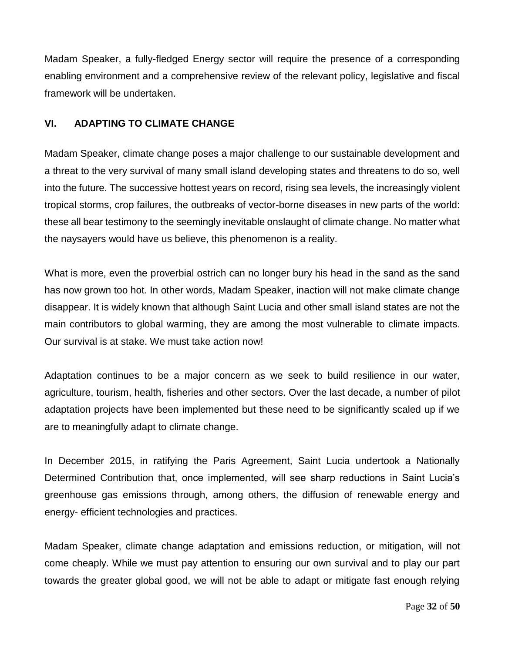Madam Speaker, a fully-fledged Energy sector will require the presence of a corresponding enabling environment and a comprehensive review of the relevant policy, legislative and fiscal framework will be undertaken.

### **VI. ADAPTING TO CLIMATE CHANGE**

Madam Speaker, climate change poses a major challenge to our sustainable development and a threat to the very survival of many small island developing states and threatens to do so, well into the future. The successive hottest years on record, rising sea levels, the increasingly violent tropical storms, crop failures, the outbreaks of vector-borne diseases in new parts of the world: these all bear testimony to the seemingly inevitable onslaught of climate change. No matter what the naysayers would have us believe, this phenomenon is a reality.

What is more, even the proverbial ostrich can no longer bury his head in the sand as the sand has now grown too hot. In other words, Madam Speaker, inaction will not make climate change disappear. It is widely known that although Saint Lucia and other small island states are not the main contributors to global warming, they are among the most vulnerable to climate impacts. Our survival is at stake. We must take action now!

Adaptation continues to be a major concern as we seek to build resilience in our water, agriculture, tourism, health, fisheries and other sectors. Over the last decade, a number of pilot adaptation projects have been implemented but these need to be significantly scaled up if we are to meaningfully adapt to climate change.

In December 2015, in ratifying the Paris Agreement, Saint Lucia undertook a Nationally Determined Contribution that, once implemented, will see sharp reductions in Saint Lucia's greenhouse gas emissions through, among others, the diffusion of renewable energy and energy- efficient technologies and practices.

Madam Speaker, climate change adaptation and emissions reduction, or mitigation, will not come cheaply. While we must pay attention to ensuring our own survival and to play our part towards the greater global good, we will not be able to adapt or mitigate fast enough relying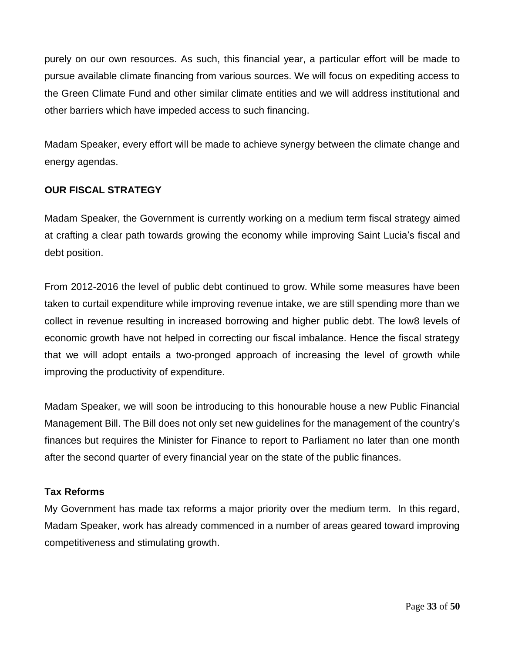purely on our own resources. As such, this financial year, a particular effort will be made to pursue available climate financing from various sources. We will focus on expediting access to the Green Climate Fund and other similar climate entities and we will address institutional and other barriers which have impeded access to such financing.

Madam Speaker, every effort will be made to achieve synergy between the climate change and energy agendas.

# **OUR FISCAL STRATEGY**

Madam Speaker, the Government is currently working on a medium term fiscal strategy aimed at crafting a clear path towards growing the economy while improving Saint Lucia's fiscal and debt position.

From 2012-2016 the level of public debt continued to grow. While some measures have been taken to curtail expenditure while improving revenue intake, we are still spending more than we collect in revenue resulting in increased borrowing and higher public debt. The low8 levels of economic growth have not helped in correcting our fiscal imbalance. Hence the fiscal strategy that we will adopt entails a two-pronged approach of increasing the level of growth while improving the productivity of expenditure.

Madam Speaker, we will soon be introducing to this honourable house a new Public Financial Management Bill. The Bill does not only set new guidelines for the management of the country's finances but requires the Minister for Finance to report to Parliament no later than one month after the second quarter of every financial year on the state of the public finances.

# **Tax Reforms**

My Government has made tax reforms a major priority over the medium term. In this regard, Madam Speaker, work has already commenced in a number of areas geared toward improving competitiveness and stimulating growth.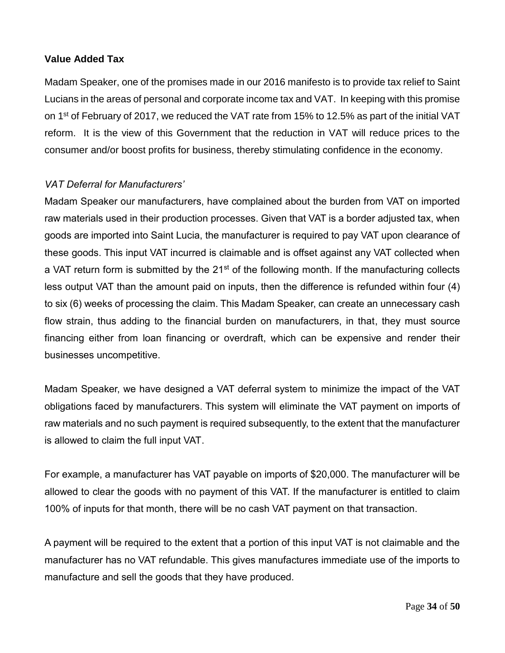### **Value Added Tax**

Madam Speaker, one of the promises made in our 2016 manifesto is to provide tax relief to Saint Lucians in the areas of personal and corporate income tax and VAT. In keeping with this promise on 1<sup>st</sup> of February of 2017, we reduced the VAT rate from 15% to 12.5% as part of the initial VAT reform. It is the view of this Government that the reduction in VAT will reduce prices to the consumer and/or boost profits for business, thereby stimulating confidence in the economy.

# *VAT Deferral for Manufacturers'*

Madam Speaker our manufacturers, have complained about the burden from VAT on imported raw materials used in their production processes. Given that VAT is a border adjusted tax, when goods are imported into Saint Lucia, the manufacturer is required to pay VAT upon clearance of these goods. This input VAT incurred is claimable and is offset against any VAT collected when a VAT return form is submitted by the 21<sup>st</sup> of the following month. If the manufacturing collects less output VAT than the amount paid on inputs, then the difference is refunded within four (4) to six (6) weeks of processing the claim. This Madam Speaker, can create an unnecessary cash flow strain, thus adding to the financial burden on manufacturers, in that, they must source financing either from loan financing or overdraft, which can be expensive and render their businesses uncompetitive.

Madam Speaker, we have designed a VAT deferral system to minimize the impact of the VAT obligations faced by manufacturers. This system will eliminate the VAT payment on imports of raw materials and no such payment is required subsequently, to the extent that the manufacturer is allowed to claim the full input VAT.

For example, a manufacturer has VAT payable on imports of \$20,000. The manufacturer will be allowed to clear the goods with no payment of this VAT. If the manufacturer is entitled to claim 100% of inputs for that month, there will be no cash VAT payment on that transaction.

A payment will be required to the extent that a portion of this input VAT is not claimable and the manufacturer has no VAT refundable. This gives manufactures immediate use of the imports to manufacture and sell the goods that they have produced.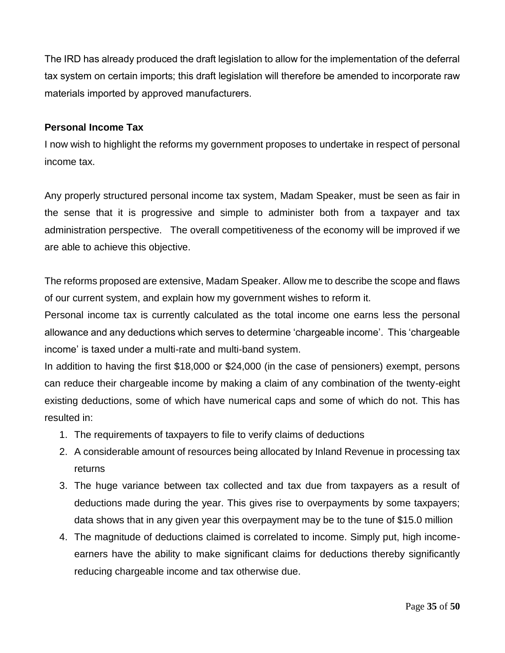The IRD has already produced the draft legislation to allow for the implementation of the deferral tax system on certain imports; this draft legislation will therefore be amended to incorporate raw materials imported by approved manufacturers.

### **Personal Income Tax**

I now wish to highlight the reforms my government proposes to undertake in respect of personal income tax.

Any properly structured personal income tax system, Madam Speaker, must be seen as fair in the sense that it is progressive and simple to administer both from a taxpayer and tax administration perspective. The overall competitiveness of the economy will be improved if we are able to achieve this objective.

The reforms proposed are extensive, Madam Speaker. Allow me to describe the scope and flaws of our current system, and explain how my government wishes to reform it.

Personal income tax is currently calculated as the total income one earns less the personal allowance and any deductions which serves to determine 'chargeable income'. This 'chargeable income' is taxed under a multi-rate and multi-band system.

In addition to having the first \$18,000 or \$24,000 (in the case of pensioners) exempt, persons can reduce their chargeable income by making a claim of any combination of the twenty-eight existing deductions, some of which have numerical caps and some of which do not. This has resulted in:

- 1. The requirements of taxpayers to file to verify claims of deductions
- 2. A considerable amount of resources being allocated by Inland Revenue in processing tax returns
- 3. The huge variance between tax collected and tax due from taxpayers as a result of deductions made during the year. This gives rise to overpayments by some taxpayers; data shows that in any given year this overpayment may be to the tune of \$15.0 million
- 4. The magnitude of deductions claimed is correlated to income. Simply put, high incomeearners have the ability to make significant claims for deductions thereby significantly reducing chargeable income and tax otherwise due.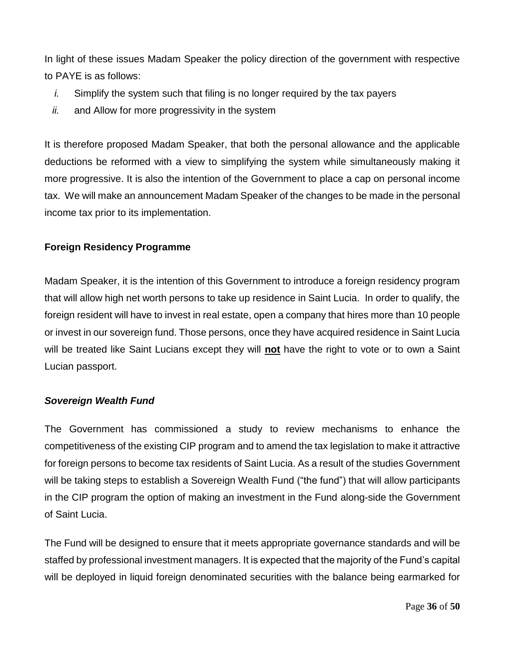In light of these issues Madam Speaker the policy direction of the government with respective to PAYE is as follows:

- *i.* Simplify the system such that filing is no longer required by the tax payers
- *ii.* and Allow for more progressivity in the system

It is therefore proposed Madam Speaker, that both the personal allowance and the applicable deductions be reformed with a view to simplifying the system while simultaneously making it more progressive. It is also the intention of the Government to place a cap on personal income tax. We will make an announcement Madam Speaker of the changes to be made in the personal income tax prior to its implementation.

# **Foreign Residency Programme**

Madam Speaker, it is the intention of this Government to introduce a foreign residency program that will allow high net worth persons to take up residence in Saint Lucia. In order to qualify, the foreign resident will have to invest in real estate, open a company that hires more than 10 people or invest in our sovereign fund. Those persons, once they have acquired residence in Saint Lucia will be treated like Saint Lucians except they will **not** have the right to vote or to own a Saint Lucian passport.

#### *Sovereign Wealth Fund*

The Government has commissioned a study to review mechanisms to enhance the competitiveness of the existing CIP program and to amend the tax legislation to make it attractive for foreign persons to become tax residents of Saint Lucia. As a result of the studies Government will be taking steps to establish a Sovereign Wealth Fund ("the fund") that will allow participants in the CIP program the option of making an investment in the Fund along-side the Government of Saint Lucia.

The Fund will be designed to ensure that it meets appropriate governance standards and will be staffed by professional investment managers. It is expected that the majority of the Fund's capital will be deployed in liquid foreign denominated securities with the balance being earmarked for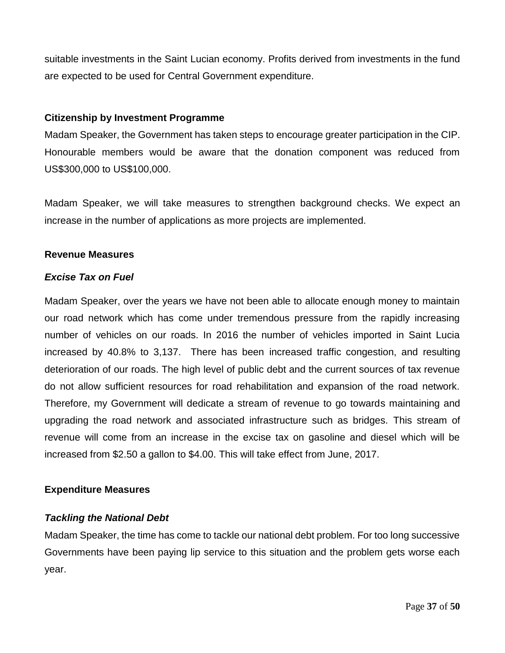suitable investments in the Saint Lucian economy. Profits derived from investments in the fund are expected to be used for Central Government expenditure.

#### **Citizenship by Investment Programme**

Madam Speaker, the Government has taken steps to encourage greater participation in the CIP. Honourable members would be aware that the donation component was reduced from US\$300,000 to US\$100,000.

Madam Speaker, we will take measures to strengthen background checks. We expect an increase in the number of applications as more projects are implemented.

#### **Revenue Measures**

#### *Excise Tax on Fuel*

Madam Speaker, over the years we have not been able to allocate enough money to maintain our road network which has come under tremendous pressure from the rapidly increasing number of vehicles on our roads. In 2016 the number of vehicles imported in Saint Lucia increased by 40.8% to 3,137. There has been increased traffic congestion, and resulting deterioration of our roads. The high level of public debt and the current sources of tax revenue do not allow sufficient resources for road rehabilitation and expansion of the road network. Therefore, my Government will dedicate a stream of revenue to go towards maintaining and upgrading the road network and associated infrastructure such as bridges. This stream of revenue will come from an increase in the excise tax on gasoline and diesel which will be increased from \$2.50 a gallon to \$4.00. This will take effect from June, 2017.

#### **Expenditure Measures**

#### *Tackling the National Debt*

Madam Speaker, the time has come to tackle our national debt problem. For too long successive Governments have been paying lip service to this situation and the problem gets worse each year.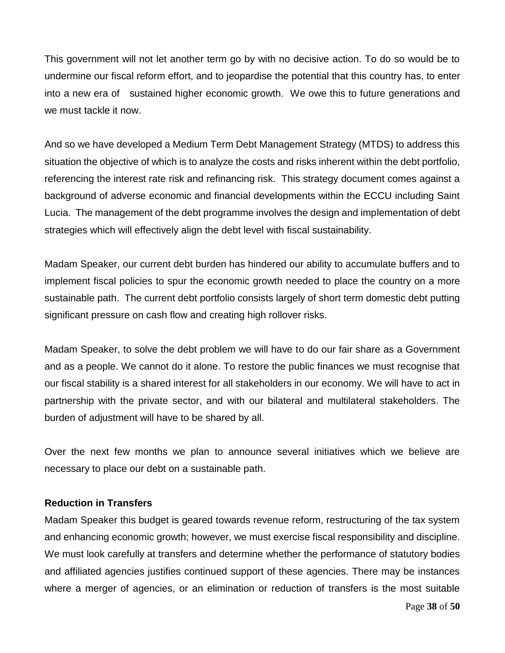This government will not let another term go by with no decisive action. To do so would be to undermine our fiscal reform effort, and to jeopardise the potential that this country has, to enter into a new era of sustained higher economic growth. We owe this to future generations and we must tackle it now.

And so we have developed a Medium Term Debt Management Strategy (MTDS) to address this situation the objective of which is to analyze the costs and risks inherent within the debt portfolio, referencing the interest rate risk and refinancing risk. This strategy document comes against a background of adverse economic and financial developments within the ECCU including Saint Lucia. The management of the debt programme involves the design and implementation of debt strategies which will effectively align the debt level with fiscal sustainability.

Madam Speaker, our current debt burden has hindered our ability to accumulate buffers and to implement fiscal policies to spur the economic growth needed to place the country on a more sustainable path. The current debt portfolio consists largely of short term domestic debt putting significant pressure on cash flow and creating high rollover risks.

Madam Speaker, to solve the debt problem we will have to do our fair share as a Government and as a people. We cannot do it alone. To restore the public finances we must recognise that our fiscal stability is a shared interest for all stakeholders in our economy. We will have to act in partnership with the private sector, and with our bilateral and multilateral stakeholders. The burden of adjustment will have to be shared by all.

Over the next few months we plan to announce several initiatives which we believe are necessary to place our debt on a sustainable path.

# **Reduction in Transfers**

Madam Speaker this budget is geared towards revenue reform, restructuring of the tax system and enhancing economic growth; however, we must exercise fiscal responsibility and discipline. We must look carefully at transfers and determine whether the performance of statutory bodies and affiliated agencies justifies continued support of these agencies. There may be instances where a merger of agencies, or an elimination or reduction of transfers is the most suitable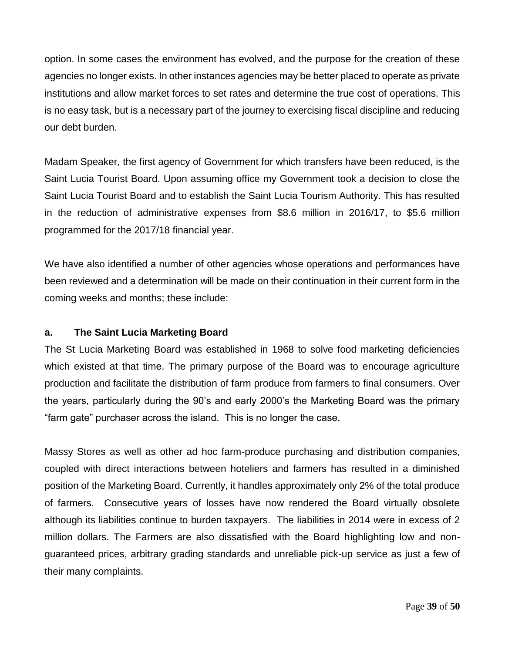option. In some cases the environment has evolved, and the purpose for the creation of these agencies no longer exists. In other instances agencies may be better placed to operate as private institutions and allow market forces to set rates and determine the true cost of operations. This is no easy task, but is a necessary part of the journey to exercising fiscal discipline and reducing our debt burden.

Madam Speaker, the first agency of Government for which transfers have been reduced, is the Saint Lucia Tourist Board. Upon assuming office my Government took a decision to close the Saint Lucia Tourist Board and to establish the Saint Lucia Tourism Authority. This has resulted in the reduction of administrative expenses from \$8.6 million in 2016/17, to \$5.6 million programmed for the 2017/18 financial year.

We have also identified a number of other agencies whose operations and performances have been reviewed and a determination will be made on their continuation in their current form in the coming weeks and months; these include:

# **a. The Saint Lucia Marketing Board**

The St Lucia Marketing Board was established in 1968 to solve food marketing deficiencies which existed at that time. The primary purpose of the Board was to encourage agriculture production and facilitate the distribution of farm produce from farmers to final consumers. Over the years, particularly during the 90's and early 2000's the Marketing Board was the primary "farm gate" purchaser across the island. This is no longer the case.

Massy Stores as well as other ad hoc farm-produce purchasing and distribution companies, coupled with direct interactions between hoteliers and farmers has resulted in a diminished position of the Marketing Board. Currently, it handles approximately only 2% of the total produce of farmers. Consecutive years of losses have now rendered the Board virtually obsolete although its liabilities continue to burden taxpayers. The liabilities in 2014 were in excess of 2 million dollars. The Farmers are also dissatisfied with the Board highlighting low and nonguaranteed prices, arbitrary grading standards and unreliable pick-up service as just a few of their many complaints.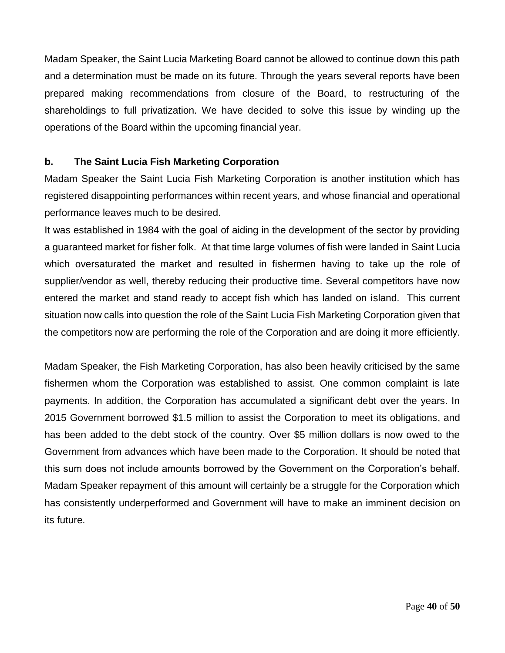Madam Speaker, the Saint Lucia Marketing Board cannot be allowed to continue down this path and a determination must be made on its future. Through the years several reports have been prepared making recommendations from closure of the Board, to restructuring of the shareholdings to full privatization. We have decided to solve this issue by winding up the operations of the Board within the upcoming financial year.

# **b. The Saint Lucia Fish Marketing Corporation**

Madam Speaker the Saint Lucia Fish Marketing Corporation is another institution which has registered disappointing performances within recent years, and whose financial and operational performance leaves much to be desired.

It was established in 1984 with the goal of aiding in the development of the sector by providing a guaranteed market for fisher folk. At that time large volumes of fish were landed in Saint Lucia which oversaturated the market and resulted in fishermen having to take up the role of supplier/vendor as well, thereby reducing their productive time. Several competitors have now entered the market and stand ready to accept fish which has landed on island. This current situation now calls into question the role of the Saint Lucia Fish Marketing Corporation given that the competitors now are performing the role of the Corporation and are doing it more efficiently.

Madam Speaker, the Fish Marketing Corporation, has also been heavily criticised by the same fishermen whom the Corporation was established to assist. One common complaint is late payments. In addition, the Corporation has accumulated a significant debt over the years. In 2015 Government borrowed \$1.5 million to assist the Corporation to meet its obligations, and has been added to the debt stock of the country. Over \$5 million dollars is now owed to the Government from advances which have been made to the Corporation. It should be noted that this sum does not include amounts borrowed by the Government on the Corporation's behalf. Madam Speaker repayment of this amount will certainly be a struggle for the Corporation which has consistently underperformed and Government will have to make an imminent decision on its future.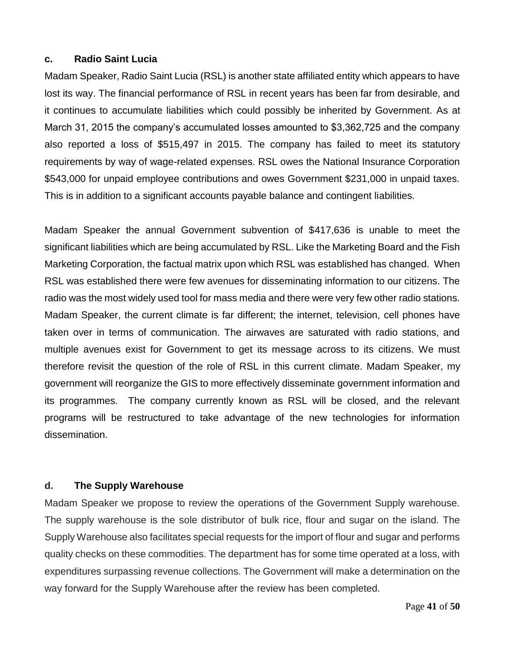#### **c. Radio Saint Lucia**

Madam Speaker, Radio Saint Lucia (RSL) is another state affiliated entity which appears to have lost its way. The financial performance of RSL in recent years has been far from desirable, and it continues to accumulate liabilities which could possibly be inherited by Government. As at March 31, 2015 the company's accumulated losses amounted to \$3,362,725 and the company also reported a loss of \$515,497 in 2015. The company has failed to meet its statutory requirements by way of wage-related expenses. RSL owes the National Insurance Corporation \$543,000 for unpaid employee contributions and owes Government \$231,000 in unpaid taxes. This is in addition to a significant accounts payable balance and contingent liabilities.

Madam Speaker the annual Government subvention of \$417,636 is unable to meet the significant liabilities which are being accumulated by RSL. Like the Marketing Board and the Fish Marketing Corporation, the factual matrix upon which RSL was established has changed. When RSL was established there were few avenues for disseminating information to our citizens. The radio was the most widely used tool for mass media and there were very few other radio stations. Madam Speaker, the current climate is far different; the internet, television, cell phones have taken over in terms of communication. The airwaves are saturated with radio stations, and multiple avenues exist for Government to get its message across to its citizens. We must therefore revisit the question of the role of RSL in this current climate. Madam Speaker, my government will reorganize the GIS to more effectively disseminate government information and its programmes. The company currently known as RSL will be closed, and the relevant programs will be restructured to take advantage of the new technologies for information dissemination.

#### **d. The Supply Warehouse**

Madam Speaker we propose to review the operations of the Government Supply warehouse. The supply warehouse is the sole distributor of bulk rice, flour and sugar on the island. The Supply Warehouse also facilitates special requests for the import of flour and sugar and performs quality checks on these commodities. The department has for some time operated at a loss, with expenditures surpassing revenue collections. The Government will make a determination on the way forward for the Supply Warehouse after the review has been completed.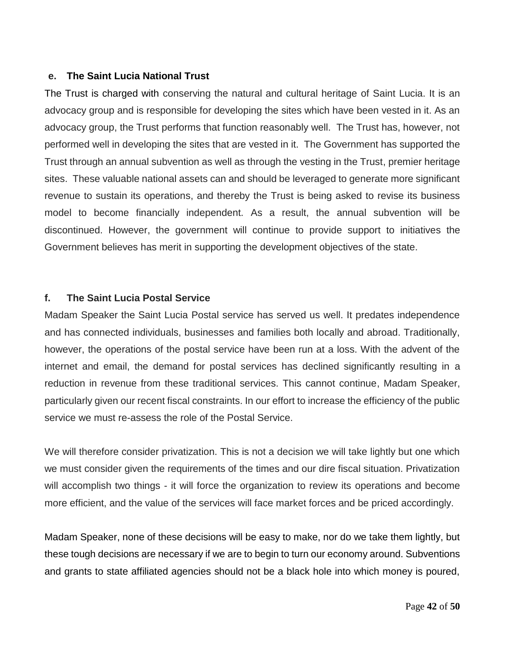#### **e. The Saint Lucia National Trust**

The Trust is charged with conserving the natural and cultural heritage of Saint Lucia. It is an advocacy group and is responsible for developing the sites which have been vested in it. As an advocacy group, the Trust performs that function reasonably well. The Trust has, however, not performed well in developing the sites that are vested in it. The Government has supported the Trust through an annual subvention as well as through the vesting in the Trust, premier heritage sites. These valuable national assets can and should be leveraged to generate more significant revenue to sustain its operations, and thereby the Trust is being asked to revise its business model to become financially independent. As a result, the annual subvention will be discontinued. However, the government will continue to provide support to initiatives the Government believes has merit in supporting the development objectives of the state.

#### **f. The Saint Lucia Postal Service**

Madam Speaker the Saint Lucia Postal service has served us well. It predates independence and has connected individuals, businesses and families both locally and abroad. Traditionally, however, the operations of the postal service have been run at a loss. With the advent of the internet and email, the demand for postal services has declined significantly resulting in a reduction in revenue from these traditional services. This cannot continue, Madam Speaker, particularly given our recent fiscal constraints. In our effort to increase the efficiency of the public service we must re-assess the role of the Postal Service.

We will therefore consider privatization. This is not a decision we will take lightly but one which we must consider given the requirements of the times and our dire fiscal situation. Privatization will accomplish two things - it will force the organization to review its operations and become more efficient, and the value of the services will face market forces and be priced accordingly.

Madam Speaker, none of these decisions will be easy to make, nor do we take them lightly, but these tough decisions are necessary if we are to begin to turn our economy around. Subventions and grants to state affiliated agencies should not be a black hole into which money is poured,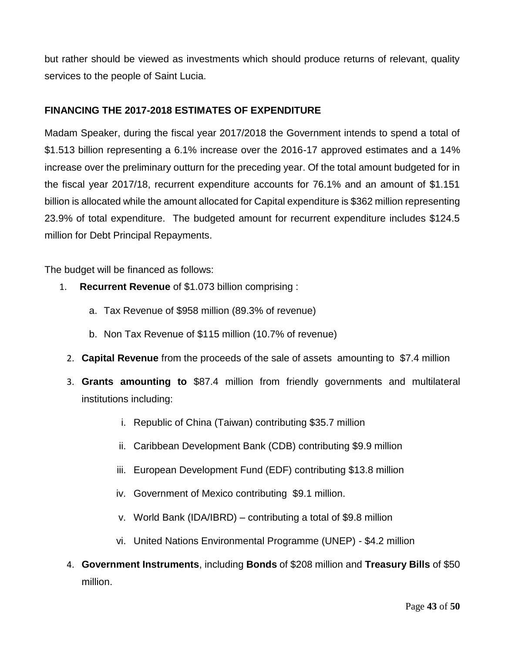but rather should be viewed as investments which should produce returns of relevant, quality services to the people of Saint Lucia.

# **FINANCING THE 2017-2018 ESTIMATES OF EXPENDITURE**

Madam Speaker, during the fiscal year 2017/2018 the Government intends to spend a total of \$1.513 billion representing a 6.1% increase over the 2016-17 approved estimates and a 14% increase over the preliminary outturn for the preceding year. Of the total amount budgeted for in the fiscal year 2017/18, recurrent expenditure accounts for 76.1% and an amount of \$1.151 billion is allocated while the amount allocated for Capital expenditure is \$362 million representing 23.9% of total expenditure. The budgeted amount for recurrent expenditure includes \$124.5 million for Debt Principal Repayments.

The budget will be financed as follows:

- 1. **Recurrent Revenue** of \$1.073 billion comprising :
	- a. Tax Revenue of \$958 million (89.3% of revenue)
	- b. Non Tax Revenue of \$115 million (10.7% of revenue)
	- 2. **Capital Revenue** from the proceeds of the sale of assets amounting to \$7.4 million
	- 3. **Grants amounting to** \$87.4 million from friendly governments and multilateral institutions including:
		- i. Republic of China (Taiwan) contributing \$35.7 million
		- ii. Caribbean Development Bank (CDB) contributing \$9.9 million
		- iii. European Development Fund (EDF) contributing \$13.8 million
		- iv. Government of Mexico contributing \$9.1 million.
		- v. World Bank (IDA/IBRD) contributing a total of \$9.8 million
		- vi. United Nations Environmental Programme (UNEP) \$4.2 million
	- 4. **Government Instruments**, including **Bonds** of \$208 million and **Treasury Bills** of \$50 million.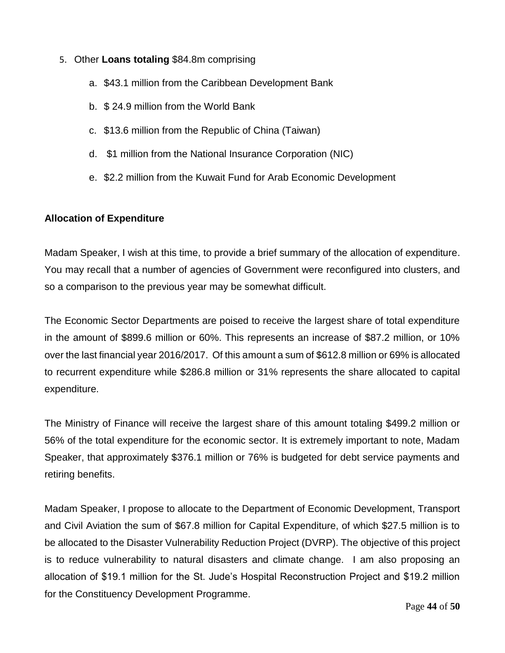#### 5. Other **Loans totaling** \$84.8m comprising

- a. \$43.1 million from the Caribbean Development Bank
- b. \$ 24.9 million from the World Bank
- c. \$13.6 million from the Republic of China (Taiwan)
- d. \$1 million from the National Insurance Corporation (NIC)
- e. \$2.2 million from the Kuwait Fund for Arab Economic Development

#### **Allocation of Expenditure**

Madam Speaker, I wish at this time, to provide a brief summary of the allocation of expenditure. You may recall that a number of agencies of Government were reconfigured into clusters, and so a comparison to the previous year may be somewhat difficult.

The Economic Sector Departments are poised to receive the largest share of total expenditure in the amount of \$899.6 million or 60%. This represents an increase of \$87.2 million, or 10% over the last financial year 2016/2017. Of this amount a sum of \$612.8 million or 69% is allocated to recurrent expenditure while \$286.8 million or 31% represents the share allocated to capital expenditure.

The Ministry of Finance will receive the largest share of this amount totaling \$499.2 million or 56% of the total expenditure for the economic sector. It is extremely important to note, Madam Speaker, that approximately \$376.1 million or 76% is budgeted for debt service payments and retiring benefits.

Madam Speaker, I propose to allocate to the Department of Economic Development, Transport and Civil Aviation the sum of \$67.8 million for Capital Expenditure, of which \$27.5 million is to be allocated to the Disaster Vulnerability Reduction Project (DVRP). The objective of this project is to reduce vulnerability to natural disasters and climate change. I am also proposing an allocation of \$19.1 million for the St. Jude's Hospital Reconstruction Project and \$19.2 million for the Constituency Development Programme.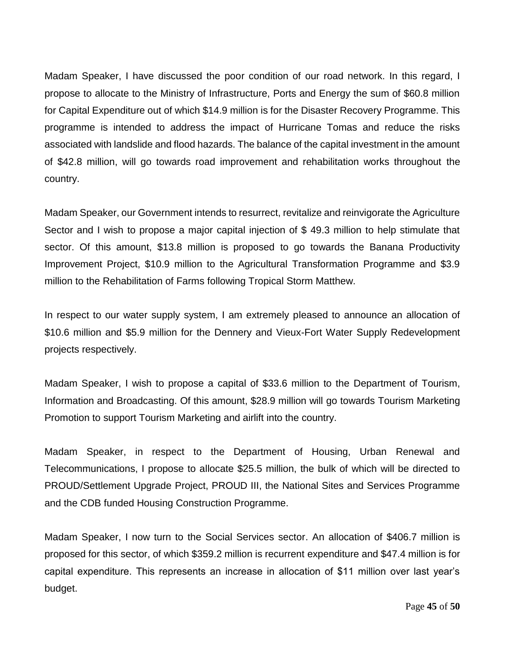Madam Speaker, I have discussed the poor condition of our road network. In this regard, I propose to allocate to the Ministry of Infrastructure, Ports and Energy the sum of \$60.8 million for Capital Expenditure out of which \$14.9 million is for the Disaster Recovery Programme. This programme is intended to address the impact of Hurricane Tomas and reduce the risks associated with landslide and flood hazards. The balance of the capital investment in the amount of \$42.8 million, will go towards road improvement and rehabilitation works throughout the country.

Madam Speaker, our Government intends to resurrect, revitalize and reinvigorate the Agriculture Sector and I wish to propose a major capital injection of \$49.3 million to help stimulate that sector. Of this amount, \$13.8 million is proposed to go towards the Banana Productivity Improvement Project, \$10.9 million to the Agricultural Transformation Programme and \$3.9 million to the Rehabilitation of Farms following Tropical Storm Matthew.

In respect to our water supply system, I am extremely pleased to announce an allocation of \$10.6 million and \$5.9 million for the Dennery and Vieux-Fort Water Supply Redevelopment projects respectively.

Madam Speaker, I wish to propose a capital of \$33.6 million to the Department of Tourism, Information and Broadcasting. Of this amount, \$28.9 million will go towards Tourism Marketing Promotion to support Tourism Marketing and airlift into the country.

Madam Speaker, in respect to the Department of Housing, Urban Renewal and Telecommunications, I propose to allocate \$25.5 million, the bulk of which will be directed to PROUD/Settlement Upgrade Project, PROUD III, the National Sites and Services Programme and the CDB funded Housing Construction Programme.

Madam Speaker, I now turn to the Social Services sector. An allocation of \$406.7 million is proposed for this sector, of which \$359.2 million is recurrent expenditure and \$47.4 million is for capital expenditure. This represents an increase in allocation of \$11 million over last year's budget.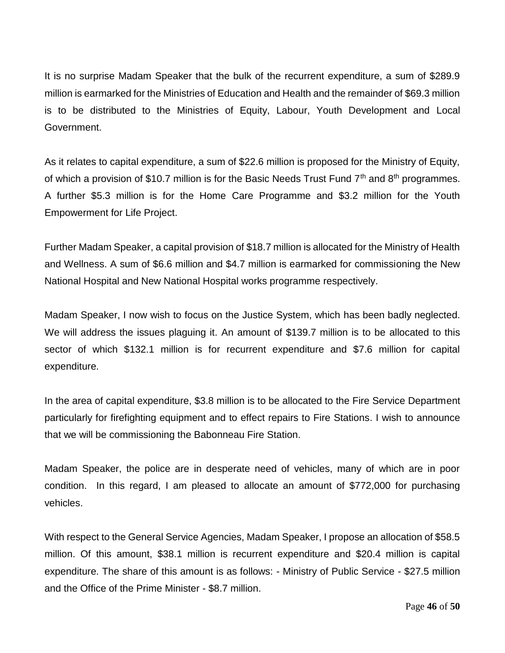It is no surprise Madam Speaker that the bulk of the recurrent expenditure, a sum of \$289.9 million is earmarked for the Ministries of Education and Health and the remainder of \$69.3 million is to be distributed to the Ministries of Equity, Labour, Youth Development and Local Government.

As it relates to capital expenditure, a sum of \$22.6 million is proposed for the Ministry of Equity, of which a provision of \$10.7 million is for the Basic Needs Trust Fund  $7<sup>th</sup>$  and  $8<sup>th</sup>$  programmes. A further \$5.3 million is for the Home Care Programme and \$3.2 million for the Youth Empowerment for Life Project.

Further Madam Speaker, a capital provision of \$18.7 million is allocated for the Ministry of Health and Wellness. A sum of \$6.6 million and \$4.7 million is earmarked for commissioning the New National Hospital and New National Hospital works programme respectively.

Madam Speaker, I now wish to focus on the Justice System, which has been badly neglected. We will address the issues plaguing it. An amount of \$139.7 million is to be allocated to this sector of which \$132.1 million is for recurrent expenditure and \$7.6 million for capital expenditure.

In the area of capital expenditure, \$3.8 million is to be allocated to the Fire Service Department particularly for firefighting equipment and to effect repairs to Fire Stations. I wish to announce that we will be commissioning the Babonneau Fire Station.

Madam Speaker, the police are in desperate need of vehicles, many of which are in poor condition. In this regard, I am pleased to allocate an amount of \$772,000 for purchasing vehicles.

With respect to the General Service Agencies, Madam Speaker, I propose an allocation of \$58.5 million. Of this amount, \$38.1 million is recurrent expenditure and \$20.4 million is capital expenditure. The share of this amount is as follows: - Ministry of Public Service - \$27.5 million and the Office of the Prime Minister - \$8.7 million.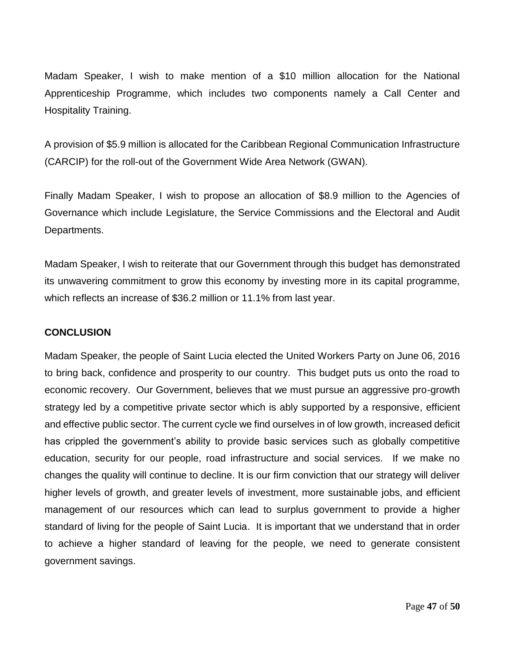Madam Speaker, I wish to make mention of a \$10 million allocation for the National Apprenticeship Programme, which includes two components namely a Call Center and Hospitality Training.

A provision of \$5.9 million is allocated for the Caribbean Regional Communication Infrastructure (CARCIP) for the roll-out of the Government Wide Area Network (GWAN).

Finally Madam Speaker, I wish to propose an allocation of \$8.9 million to the Agencies of Governance which include Legislature, the Service Commissions and the Electoral and Audit Departments.

Madam Speaker, I wish to reiterate that our Government through this budget has demonstrated its unwavering commitment to grow this economy by investing more in its capital programme, which reflects an increase of \$36.2 million or 11.1% from last year.

#### **CONCLUSION**

Madam Speaker, the people of Saint Lucia elected the United Workers Party on June 06, 2016 to bring back, confidence and prosperity to our country. This budget puts us onto the road to economic recovery. Our Government, believes that we must pursue an aggressive pro-growth strategy led by a competitive private sector which is ably supported by a responsive, efficient and effective public sector. The current cycle we find ourselves in of low growth, increased deficit has crippled the government's ability to provide basic services such as globally competitive education, security for our people, road infrastructure and social services. If we make no changes the quality will continue to decline. It is our firm conviction that our strategy will deliver higher levels of growth, and greater levels of investment, more sustainable jobs, and efficient management of our resources which can lead to surplus government to provide a higher standard of living for the people of Saint Lucia. It is important that we understand that in order to achieve a higher standard of leaving for the people, we need to generate consistent government savings.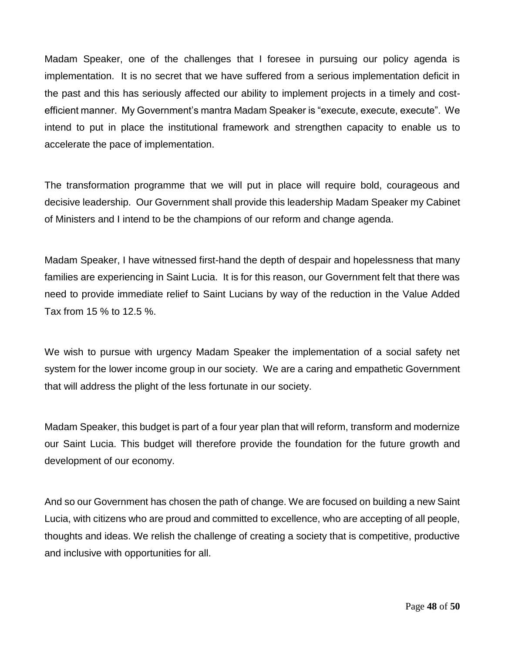Madam Speaker, one of the challenges that I foresee in pursuing our policy agenda is implementation. It is no secret that we have suffered from a serious implementation deficit in the past and this has seriously affected our ability to implement projects in a timely and costefficient manner. My Government's mantra Madam Speaker is "execute, execute, execute". We intend to put in place the institutional framework and strengthen capacity to enable us to accelerate the pace of implementation.

The transformation programme that we will put in place will require bold, courageous and decisive leadership. Our Government shall provide this leadership Madam Speaker my Cabinet of Ministers and I intend to be the champions of our reform and change agenda.

Madam Speaker, I have witnessed first-hand the depth of despair and hopelessness that many families are experiencing in Saint Lucia. It is for this reason, our Government felt that there was need to provide immediate relief to Saint Lucians by way of the reduction in the Value Added Tax from 15 % to 12.5 %.

We wish to pursue with urgency Madam Speaker the implementation of a social safety net system for the lower income group in our society. We are a caring and empathetic Government that will address the plight of the less fortunate in our society.

Madam Speaker, this budget is part of a four year plan that will reform, transform and modernize our Saint Lucia. This budget will therefore provide the foundation for the future growth and development of our economy.

And so our Government has chosen the path of change. We are focused on building a new Saint Lucia, with citizens who are proud and committed to excellence, who are accepting of all people, thoughts and ideas. We relish the challenge of creating a society that is competitive, productive and inclusive with opportunities for all.